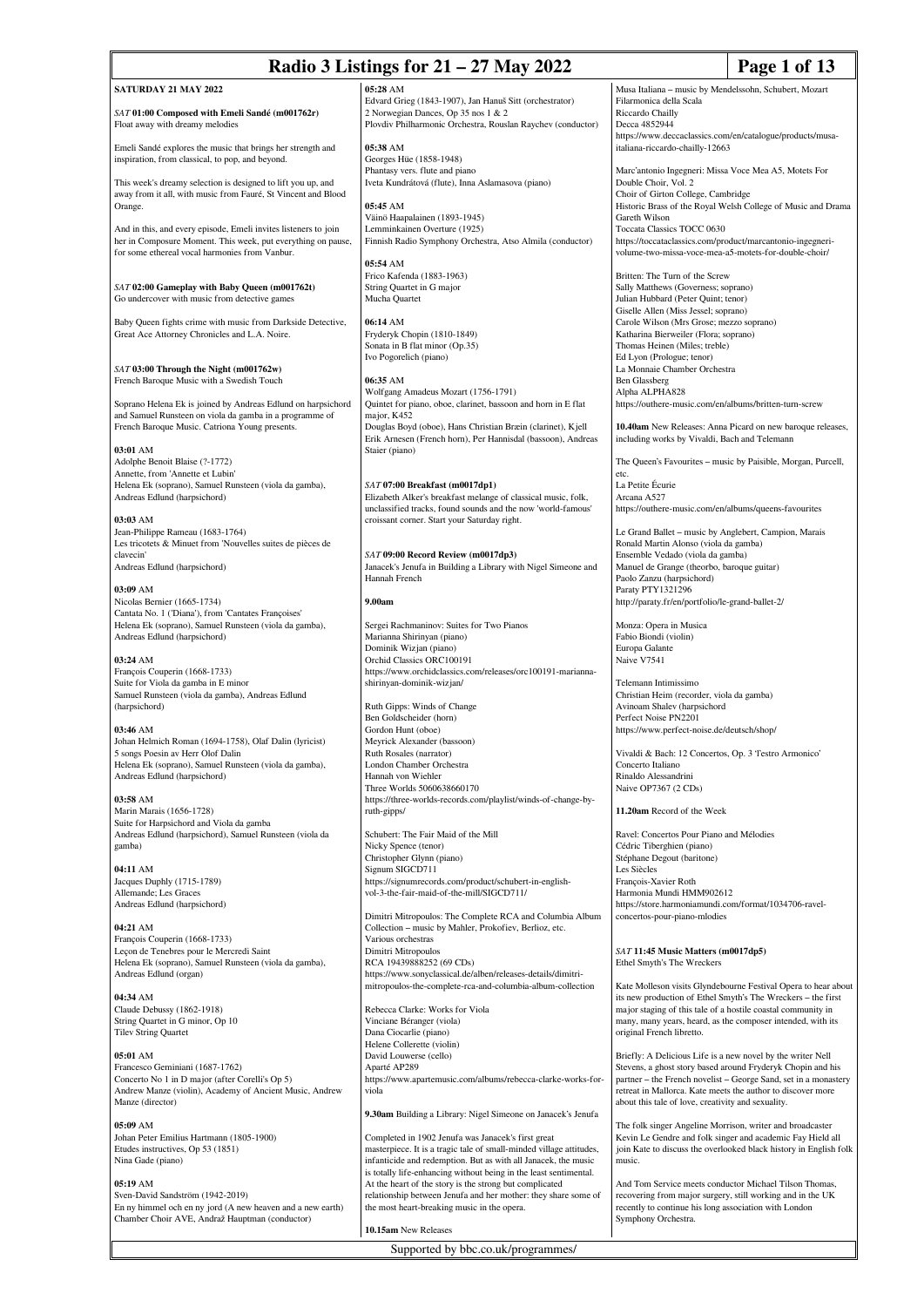# **Radio 3 Listings for 21 – 27 May 2022 Page 1 of 13**

# **SATURDAY 21 MAY 2022**

## *SAT* **01:00 Composed with Emeli Sandé (m001762r)** Float away with dreamy melodies

Emeli Sandé explores the music that brings her strength and inspiration, from classical, to pop, and beyond.

This week's dreamy selection is designed to lift you up, and away from it all, with music from Fauré, St Vincent and Blood Orange.

And in this, and every episode, Emeli invites listeners to join her in Composure Moment. This week, put everything on pause, for some ethereal vocal harmonies from Vanbur.

## *SAT* **02:00 Gameplay with Baby Queen (m001762t)** Go undercover with music from detective games

Baby Queen fights crime with music from Darkside Detective, Great Ace Attorney Chronicles and L.A. Noire.

### *SAT* **03:00 Through the Night (m001762w)** French Baroque Music with a Swedish Touch

Soprano Helena Ek is joined by Andreas Edlund on harpsichord and Samuel Runsteen on viola da gamba in a programme of French Baroque Music. Catriona Young presents.

### **03:01** AM

Adolphe Benoit Blaise (?-1772) Annette, from 'Annette et Lubin' Helena Ek (soprano), Samuel Runsteen (viola da gamba), Andreas Edlund (harpsichord)

### **03:03** AM

Jean-Philippe Rameau (1683-1764) Les tricotets & Minuet from 'Nouvelles suites de pièces de clavecin' Andreas Edlund (harpsichord)

### **03:09** AM

Nicolas Bernier (1665-1734) Cantata No. 1 ('Diana'), from 'Cantates Françoises' Helena Ek (soprano), Samuel Runsteen (viola da gamba), Andreas Edlund (harpsichord)

### **03:24** AM

François Couperin (1668-1733) Suite for Viola da gamba in E minor Samuel Runsteen (viola da gamba), Andreas Edlund (harpsichord)

## **03:46** AM

Johan Helmich Roman (1694-1758), Olaf Dalin (lyricist) 5 songs Poesin av Herr Olof Dalin Helena Ek (soprano), Samuel Runsteen (viola da gamba), Andreas Edlund (harpsichord)

### **03:58** AM

Marin Marais (1656-1728) Suite for Harpsichord and Viola da gamba Andreas Edlund (harpsichord), Samuel Runsteen (viola da gamba)

# **04:11** AM

Jacques Duphly (1715-1789) Allemande; Les Graces Andreas Edlund (harpsichord)

**04:21** AM François Couperin (1668-1733) Leçon de Tenebres pour le Mercredi Saint Helena Ek (soprano), Samuel Runsteen (viola da gamba), Andreas Edlund (organ)

**04:34** AM Claude Debussy (1862-1918) String Quartet in G minor, Op 10 Tilev String Quartet

## **05:01** AM

Francesco Geminiani (1687-1762) Concerto No 1 in D major (after Corelli's Op 5) Andrew Manze (violin), Academy of Ancient Music, Andrew Manze (director)

**05:09** AM Johan Peter Emilius Hartmann (1805-1900) Etudes instructives, Op 53 (1851) Nina Gade (piano)

**05:19** AM Sven-David Sandström (1942-2019) En ny himmel och en ny jord (A new heaven and a new earth) Chamber Choir AVE, Andraž Hauptman (conductor)

### **05:28** AM Edvard Grieg (1843-1907), Jan Hanuš Sitt (orchestrator) 2 Norwegian Dances, Op 35 nos 1 & 2 Plovdiv Philharmonic Orchestra, Rouslan Raychev (conductor)

**05:38** AM Georges Hüe (1858-1948) Phantasy vers. flute and piano Iveta Kundrátová (flute), Inna Aslamasova (piano)

**05:45** AM Väinö Haapalainen (1893-1945) Lemminkainen Overture (1925) Finnish Radio Symphony Orchestra, Atso Almila (conductor)

**05:54** AM Frico Kafenda (1883-1963) String Quartet in G major Mucha Quartet

**06:14** AM Fryderyk Chopin (1810-1849) Sonata in B flat minor (Op.35) Ivo Pogorelich (piano)

### **06:35** AM Wolfgang Amadeus Mozart (1756-1791) Quintet for piano, oboe, clarinet, bassoon and horn in E flat major, K452 Douglas Boyd (oboe), Hans Christian Bræin (clarinet), Kjell Erik Arnesen (French horn), Per Hannisdal (bassoon), Andreas Staier (piano)

*SAT* **07:00 Breakfast (m0017dp1)** Elizabeth Alker's breakfast melange of classical music, folk, unclassified tracks, found sounds and the now 'world-famous' croissant corner. Start your Saturday right.

*SAT* **09:00 Record Review (m0017dp3)** Janacek's Jenufa in Building a Library with Nigel Simeone and Hannah French

### **9.00am**

Sergei Rachmaninov: Suites for Two Pianos Marianna Shirinyan (piano) Dominik Wizjan (piano) Orchid Classics ORC100191 https://www.orchidclassics.com/releases/orc100191-mariannashirinyan-dominik-wizjan/

Ruth Gipps: Winds of Change Ben Goldscheider (horn) Gordon Hunt (oboe) Meyrick Alexander (bassoon) Ruth Rosales (narrator) London Chamber Orchestra Hannah von Wiehler Three Worlds 5060638660170 https://three-worlds-records.com/playlist/winds-of-change-byruth-gipps/

Schubert: The Fair Maid of the Mill Nicky Spence (tenor) Christopher Glynn (piano) Signum SIGCD711 https://signumrecords.com/product/schubert-in-englishvol-3-the-fair-maid-of-the-mill/SIGCD711/

Dimitri Mitropoulos: The Complete RCA and Columbia Album Collection – music by Mahler, Prokofiev, Berlioz, etc. Various orchestras Dimitri Mitropoulos RCA 19439888252 (69 CDs) https://www.sonyclassical.de/alben/releases-details/dimitrimitropoulos-the-complete-rca-and-columbia-album-collection

Rebecca Clarke: Works for Viola Vinciane Béranger (viola) Dana Ciocarlie (piano) Helene Collerette (violin) David Louwerse (cello) Aparté AP289 https://www.apartemusic.com/albums/rebecca-clarke-works-forviola

**9.30am** Building a Library: Nigel Simeone on Janacek's Jenufa

Completed in 1902 Jenufa was Janacek's first great masterpiece. It is a tragic tale of small-minded village attitudes, infanticide and redemption. But as with all Janacek, the music is totally life-enhancing without being in the least sentin At the heart of the story is the strong but complicated relationship between Jenufa and her mother: they share some of the most heart-breaking music in the opera.

**10.15am** New Releases

Supported by bbc.co.uk/programmes/

Musa Italiana – music by Mendelssohn, Schubert, Mozart Filarmonica della Scala Riccardo Chailly Decca 4852944 https://www.deccaclassics.com/en/catalogue/products/musaitaliana-riccardo-chailly-12663

Marc'antonio Ingegneri: Missa Voce Mea A5, Motets For Double Choir, Vol. 2 Choir of Girton College, Cambridge Historic Brass of the Royal Welsh College of Music and Drama Gareth Wilson Toccata Classics TOCC 0630

https://toccataclassics.com/product/marcantonio-ingegneriume-two-missa-voce-mea-a5-motets-for-double-choir/

Britten: The Turn of the Screw Sally Matthews (Governess; soprano) Julian Hubbard (Peter Quint; tenor) Giselle Allen (Miss Jessel; soprano) Carole Wilson (Mrs Grose; mezzo soprano) Katharina Bierweiler (Flora; soprano) Thomas Heinen (Miles; treble) Ed Lyon (Prologue; tenor) La Monnaie Chamber Orchestra Ben Glassberg Alpha ALPHA828

https://outhere-music.com/en/albums/britten-turn-screw

**10.40am** New Releases: Anna Picard on new baroque releases, including works by Vivaldi, Bach and Telemann

The Queen's Favourites – music by Paisible, Morgan, Purcell, etc. La Petite Écurie

Arcana A527 https://outhere-music.com/en/albums/queens-favourites

Le Grand Ballet – music by Anglebert, Campion, Marais Ronald Martin Alonso (viola da gamba) Ensemble Vedado (viola da gamba) Manuel de Grange (theorbo, baroque guitar) Paolo Zanzu (harpsichord) Paraty PTY1321296 http://paraty.fr/en/portfolio/le-grand-ballet-2/

Monza: Opera in Musica Fabio Biondi (violin) Europa Galan Naive V7541

Telemann Intimissimo Christian Heim (recorder, viola da gamba) Avinoam Shalev (harpsichord Perfect Noise PN2201 https://www.perfect-noise.de/deutsch/shop/

Vivaldi & Bach: 12 Concertos, Op. 3 'l'estro Armonico' Concerto Italiano Rinaldo Alessandrini Naive OP7367 (2 CDs)

# **11.20am** Record of the Week

Ravel: Concertos Pour Piano and Mélodies Cédric Tiberghien (piano) Stéphane Degout (baritone) Les Siècles François-Xavier Roth Harmonia Mundi HMM902612 https://store.harmoniamundi.com/format/1034706-ravelconcertos-pour-piano-mlodies

*SAT* **11:45 Music Matters (m0017dp5)** Ethel Smyth's The Wreckers

Kate Molleson visits Glyndebourne Festival Opera to hear about its new production of Ethel Smyth's The Wreckers – the first major staging of this tale of a hostile coastal community in many, many years, heard, as the composer intended, with its original French libretto.

Briefly: A Delicious Life is a new novel by the writer Nell Stevens, a ghost story based around Fryderyk Chopin and his partner – the French novelist – George Sand, set in a monastery retreat in Mallorca. Kate meets the author to discover more about this tale of love, creativity and sexuality.

The folk singer Angeline Morrison, writer and broadcaster Kevin Le Gendre and folk singer and academic Fay Hield all join Kate to discuss the overlooked black history in English folk .<br>music.

And Tom Service meets conductor Michael Tilson Thomas, recovering from major surgery, still working and in the UK recently to continue his long association with London Symphony Orchestra.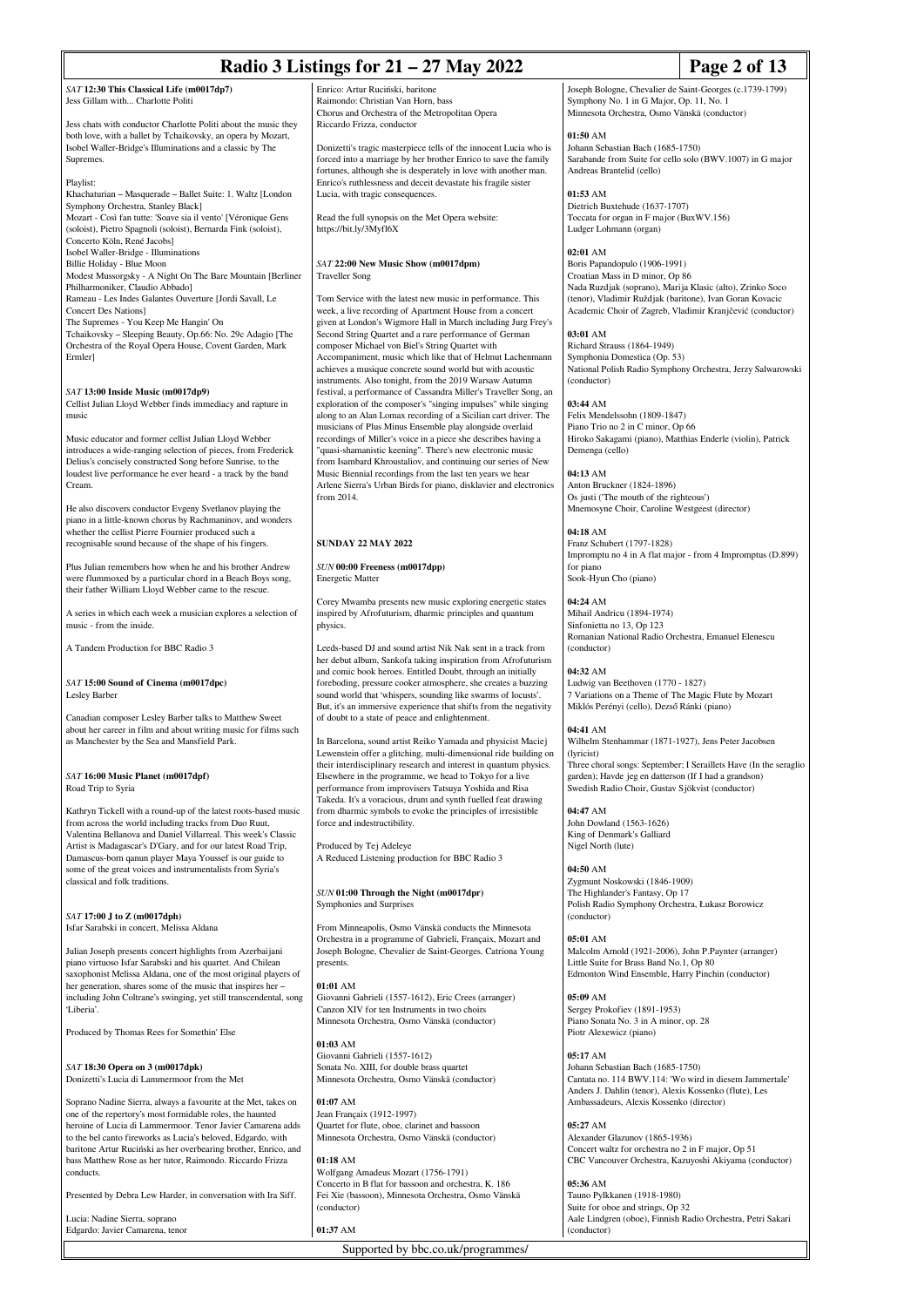| Radio 3 Listings for 21 – 27 May 2022                                                                                           | Page 2 of 13                                                                                                                          |                                                                                                                       |  |
|---------------------------------------------------------------------------------------------------------------------------------|---------------------------------------------------------------------------------------------------------------------------------------|-----------------------------------------------------------------------------------------------------------------------|--|
| SAT 12:30 This Classical Life (m0017dp7)                                                                                        | Enrico: Artur Ruciński, baritone                                                                                                      | Joseph Bologne, Chevalier de Saint-Georges (c.1739-1799)                                                              |  |
| Jess Gillam with Charlotte Politi                                                                                               | Raimondo: Christian Van Horn, bass<br>Chorus and Orchestra of the Metropolitan Opera                                                  | Symphony No. 1 in G Major, Op. 11, No. 1<br>Minnesota Orchestra, Osmo Vänskä (conductor)                              |  |
| Jess chats with conductor Charlotte Politi about the music they                                                                 | Riccardo Frizza, conductor                                                                                                            |                                                                                                                       |  |
| both love, with a ballet by Tchaikovsky, an opera by Mozart,<br>Isobel Waller-Bridge's Illuminations and a classic by The       | Donizetti's tragic masterpiece tells of the innocent Lucia who is                                                                     | 01:50 AM<br>Johann Sebastian Bach (1685-1750)                                                                         |  |
| Supremes.                                                                                                                       | forced into a marriage by her brother Enrico to save the family                                                                       | Sarabande from Suite for cello solo (BWV.1007) in G major                                                             |  |
| Playlist:                                                                                                                       | fortunes, although she is desperately in love with another man.<br>Enrico's ruthlessness and deceit devastate his fragile sister      | Andreas Brantelid (cello)                                                                                             |  |
| Khachaturian - Masquerade - Ballet Suite: 1. Waltz [London<br>Symphony Orchestra, Stanley Black]                                | Lucia, with tragic consequences.                                                                                                      | 01:53 AM<br>Dietrich Buxtehude (1637-1707)                                                                            |  |
| Mozart - Così fan tutte: 'Soave sia il vento' [Véronique Gens                                                                   | Read the full synopsis on the Met Opera website:                                                                                      | Toccata for organ in F major (BuxWV.156)                                                                              |  |
| (soloist), Pietro Spagnoli (soloist), Bernarda Fink (soloist),<br>Concerto Köln, René Jacobs]                                   | https://bit.ly/3Myfl6X                                                                                                                | Ludger Lohmann (organ)                                                                                                |  |
| Isobel Waller-Bridge - Illuminations                                                                                            |                                                                                                                                       | $02:01$ AM                                                                                                            |  |
| Billie Holiday - Blue Moon<br>Modest Mussorgsky - A Night On The Bare Mountain [Berliner                                        | SAT 22:00 New Music Show (m0017dpm)<br><b>Traveller Song</b>                                                                          | Boris Papandopulo (1906-1991)<br>Croatian Mass in D minor, Op 86                                                      |  |
| Philharmoniker, Claudio Abbado]                                                                                                 |                                                                                                                                       | Nada Ruzdjak (soprano), Marija Klasic (alto), Zrinko Soco                                                             |  |
| Rameau - Les Indes Galantes Ouverture [Jordi Savall, Le<br>Concert Des Nations]                                                 | Tom Service with the latest new music in performance. This<br>week, a live recording of Apartment House from a concert                | (tenor), Vladimir Ruždjak (baritone), Ivan Goran Kovacic<br>Academic Choir of Zagreb, Vladimir Kranjčević (conductor) |  |
| The Supremes - You Keep Me Hangin' On                                                                                           | given at London's Wigmore Hall in March including Jurg Frey's                                                                         |                                                                                                                       |  |
| Tchaikovsky - Sleeping Beauty, Op.66: No. 29c Adagio [The<br>Orchestra of the Royal Opera House, Covent Garden, Mark            | Second String Quartet and a rare performance of German<br>composer Michael von Biel's String Quartet with                             | 03:01 AM<br>Richard Strauss (1864-1949)                                                                               |  |
| Ermler]                                                                                                                         | Accompaniment, music which like that of Helmut Lachenmann<br>achieves a musique concrete sound world but with acoustic                | Symphonia Domestica (Op. 53)<br>National Polish Radio Symphony Orchestra, Jerzy Salwarowski                           |  |
|                                                                                                                                 | instruments. Also tonight, from the 2019 Warsaw Autumn                                                                                | (conductor)                                                                                                           |  |
| SAT 13:00 Inside Music (m0017dp9)<br>Cellist Julian Lloyd Webber finds immediacy and rapture in                                 | festival, a performance of Cassandra Miller's Traveller Song, an<br>exploration of the composer's "singing impulses" while singing    | 03:44 AM                                                                                                              |  |
| music                                                                                                                           | along to an Alan Lomax recording of a Sicilian cart driver. The                                                                       | Felix Mendelssohn (1809-1847)                                                                                         |  |
| Music educator and former cellist Julian Lloyd Webber                                                                           | musicians of Plus Minus Ensemble play alongside overlaid<br>recordings of Miller's voice in a piece she describes having a            | Piano Trio no 2 in C minor, Op 66<br>Hiroko Sakagami (piano), Matthias Enderle (violin), Patrick                      |  |
| introduces a wide-ranging selection of pieces, from Frederick                                                                   | "quasi-shamanistic keening". There's new electronic music                                                                             | Demenga (cello)                                                                                                       |  |
| Delius's concisely constructed Song before Sunrise, to the<br>loudest live performance he ever heard - a track by the band      | from Isambard Khroustaliov, and continuing our series of New<br>Music Biennial recordings from the last ten years we hear             | 04:13 AM                                                                                                              |  |
| Cream.                                                                                                                          | Arlene Sierra's Urban Birds for piano, disklavier and electronics                                                                     | Anton Bruckner (1824-1896)                                                                                            |  |
| He also discovers conductor Evgeny Svetlanov playing the                                                                        | from 2014.                                                                                                                            | Os justi ('The mouth of the righteous')<br>Mnemosyne Choir, Caroline Westgeest (director)                             |  |
| piano in a little-known chorus by Rachmaninov, and wonders<br>whether the cellist Pierre Fournier produced such a               |                                                                                                                                       | 04:18 AM                                                                                                              |  |
| recognisable sound because of the shape of his fingers.                                                                         | <b>SUNDAY 22 MAY 2022</b>                                                                                                             | Franz Schubert (1797-1828)                                                                                            |  |
| Plus Julian remembers how when he and his brother Andrew                                                                        | SUN 00:00 Freeness (m0017dpp)                                                                                                         | Impromptu no 4 in A flat major - from 4 Impromptus (D.899)<br>for piano                                               |  |
| were flummoxed by a particular chord in a Beach Boys song,                                                                      | <b>Energetic Matter</b>                                                                                                               | Sook-Hyun Cho (piano)                                                                                                 |  |
| their father William Lloyd Webber came to the rescue.                                                                           | Corey Mwamba presents new music exploring energetic states                                                                            | 04:24 AM                                                                                                              |  |
| A series in which each week a musician explores a selection of                                                                  | inspired by Afrofuturism, dharmic principles and quantum                                                                              | Mihail Andricu (1894-1974)                                                                                            |  |
| music - from the inside.                                                                                                        | physics.                                                                                                                              | Sinfonietta no 13, Op 123<br>Romanian National Radio Orchestra, Emanuel Elenescu                                      |  |
| A Tandem Production for BBC Radio 3                                                                                             | Leeds-based DJ and sound artist Nik Nak sent in a track from                                                                          | (conductor)                                                                                                           |  |
|                                                                                                                                 | her debut album, Sankofa taking inspiration from Afrofuturism<br>and comic book heroes. Entitled Doubt, through an initially          | 04:32 AM                                                                                                              |  |
| SAT 15:00 Sound of Cinema (m0017dpc)                                                                                            | foreboding, pressure cooker atmosphere, she creates a buzzing                                                                         | Ludwig van Beethoven (1770 - 1827)<br>7 Variations on a Theme of The Magic Flute by Mozart                            |  |
| Lesley Barber                                                                                                                   | sound world that 'whispers, sounding like swarms of locusts'.<br>But, it's an immersive experience that shifts from the negativity    | Miklós Perényi (cello), Dezső Ránki (piano)                                                                           |  |
| Canadian composer Lesley Barber talks to Matthew Sweet<br>about her career in film and about writing music for films such       | of doubt to a state of peace and enlightenment.                                                                                       | 04:41 AM                                                                                                              |  |
| as Manchester by the Sea and Mansfield Park.                                                                                    | In Barcelona, sound artist Reiko Yamada and physicist Maciej                                                                          | Wilhelm Stenhammar (1871-1927), Jens Peter Jacobsen                                                                   |  |
|                                                                                                                                 | Lewenstein offer a glitching, multi-dimensional ride building on<br>their interdisciplinary research and interest in quantum physics. | (lyricist)<br>Three choral songs: September; I Seraillets Have (In the seraglio                                       |  |
| SAT 16:00 Music Planet (m0017dpf)                                                                                               | Elsewhere in the programme, we head to Tokyo for a live                                                                               | garden); Havde jeg en datterson (If I had a grandson)                                                                 |  |
| Road Trip to Syria                                                                                                              | performance from improvisers Tatsuya Yoshida and Risa<br>Takeda. It's a voracious, drum and synth fuelled feat drawing                | Swedish Radio Choir, Gustav Sjökvist (conductor)                                                                      |  |
| Kathryn Tickell with a round-up of the latest roots-based music<br>from across the world including tracks from Duo Ruut,        | from dharmic symbols to evoke the principles of irresistible<br>force and indestructibility.                                          | 04:47 AM<br>John Dowland (1563-1626)                                                                                  |  |
| Valentina Bellanova and Daniel Villarreal. This week's Classic                                                                  |                                                                                                                                       | King of Denmark's Galliard                                                                                            |  |
| Artist is Madagascar's D'Gary, and for our latest Road Trip,<br>Damascus-born qanun player Maya Youssef is our guide to         | Produced by Tej Adeleye<br>A Reduced Listening production for BBC Radio 3                                                             | Nigel North (lute)                                                                                                    |  |
| some of the great voices and instrumentalists from Syria's                                                                      |                                                                                                                                       | 04:50 AM                                                                                                              |  |
| classical and folk traditions.                                                                                                  | SUN 01:00 Through the Night (m0017dpr)                                                                                                | Zygmunt Noskowski (1846-1909)<br>The Highlander's Fantasy, Op 17                                                      |  |
|                                                                                                                                 | Symphonies and Surprises                                                                                                              | Polish Radio Symphony Orchestra, Łukasz Borowicz                                                                      |  |
| SAT 17:00 J to Z (m0017dph)<br>Isfar Sarabski in concert, Melissa Aldana                                                        | From Minneapolis, Osmo Vänskä conducts the Minnesota                                                                                  | (conductor)                                                                                                           |  |
| Julian Joseph presents concert highlights from Azerbaijani                                                                      | Orchestra in a programme of Gabrieli, Françaix, Mozart and<br>Joseph Bologne, Chevalier de Saint-Georges. Catriona Young              | 05:01 AM<br>Malcolm Arnold (1921-2006), John P.Paynter (arranger)                                                     |  |
| piano virtuoso Isfar Sarabski and his quartet. And Chilean                                                                      | presents.                                                                                                                             | Little Suite for Brass Band No.1, Op 80                                                                               |  |
| saxophonist Melissa Aldana, one of the most original players of<br>her generation, shares some of the music that inspires her - | 01:01 AM                                                                                                                              | Edmonton Wind Ensemble, Harry Pinchin (conductor)                                                                     |  |
| including John Coltrane's swinging, yet still transcendental, song                                                              | Giovanni Gabrieli (1557-1612), Eric Crees (arranger)                                                                                  | 05:09 AM                                                                                                              |  |
| 'Liberia'.                                                                                                                      | Canzon XIV for ten Instruments in two choirs<br>Minnesota Orchestra, Osmo Vänskä (conductor)                                          | Sergey Prokofiev (1891-1953)<br>Piano Sonata No. 3 in A minor, op. 28                                                 |  |
| Produced by Thomas Rees for Somethin' Else                                                                                      |                                                                                                                                       | Piotr Alexewicz (piano)                                                                                               |  |
|                                                                                                                                 | $01:03$ AM<br>Giovanni Gabrieli (1557-1612)                                                                                           | 05:17 AM                                                                                                              |  |
| SAT 18:30 Opera on 3 (m0017dpk)<br>Donizetti's Lucia di Lammermoor from the Met                                                 | Sonata No. XIII, for double brass quartet<br>Minnesota Orchestra, Osmo Vänskä (conductor)                                             | Johann Sebastian Bach (1685-1750)<br>Cantata no. 114 BWV.114: 'Wo wird in diesem Jammertale'                          |  |
|                                                                                                                                 |                                                                                                                                       | Anders J. Dahlin (tenor), Alexis Kossenko (flute), Les                                                                |  |
| Soprano Nadine Sierra, always a favourite at the Met, takes on<br>one of the repertory's most formidable roles, the haunted     | $01:07$ AM<br>Jean Françaix (1912-1997)                                                                                               | Ambassadeurs, Alexis Kossenko (director)                                                                              |  |
| heroine of Lucia di Lammermoor. Tenor Javier Camarena adds                                                                      | Quartet for flute, oboe, clarinet and bassoon                                                                                         | 05:27 AM                                                                                                              |  |
| to the bel canto fireworks as Lucia's beloved, Edgardo, with<br>baritone Artur Ruciński as her overbearing brother, Enrico, and | Minnesota Orchestra, Osmo Vänskä (conductor)                                                                                          | Alexander Glazunov (1865-1936)<br>Concert waltz for orchestra no 2 in F major, Op 51                                  |  |
| bass Matthew Rose as her tutor, Raimondo. Riccardo Frizza                                                                       | $01:18 \text{ AM}$                                                                                                                    | CBC Vancouver Orchestra, Kazuyoshi Akiyama (conductor)                                                                |  |
| conducts.                                                                                                                       | Wolfgang Amadeus Mozart (1756-1791)<br>Concerto in B flat for bassoon and orchestra, K. 186                                           | 05:36 AM                                                                                                              |  |
| Presented by Debra Lew Harder, in conversation with Ira Siff.                                                                   | Fei Xie (bassoon), Minnesota Orchestra, Osmo Vänskä                                                                                   | Tauno Pylkkanen (1918-1980)                                                                                           |  |
| Lucia: Nadine Sierra, soprano                                                                                                   | (conductor)                                                                                                                           | Suite for oboe and strings, Op 32<br>Aale Lindgren (oboe), Finnish Radio Orchestra, Petri Sakari                      |  |
| Edgardo: Javier Camarena, tenor                                                                                                 | 01:37 AM                                                                                                                              | (conductor)                                                                                                           |  |
| Supported by bbc.co.uk/programmes/                                                                                              |                                                                                                                                       |                                                                                                                       |  |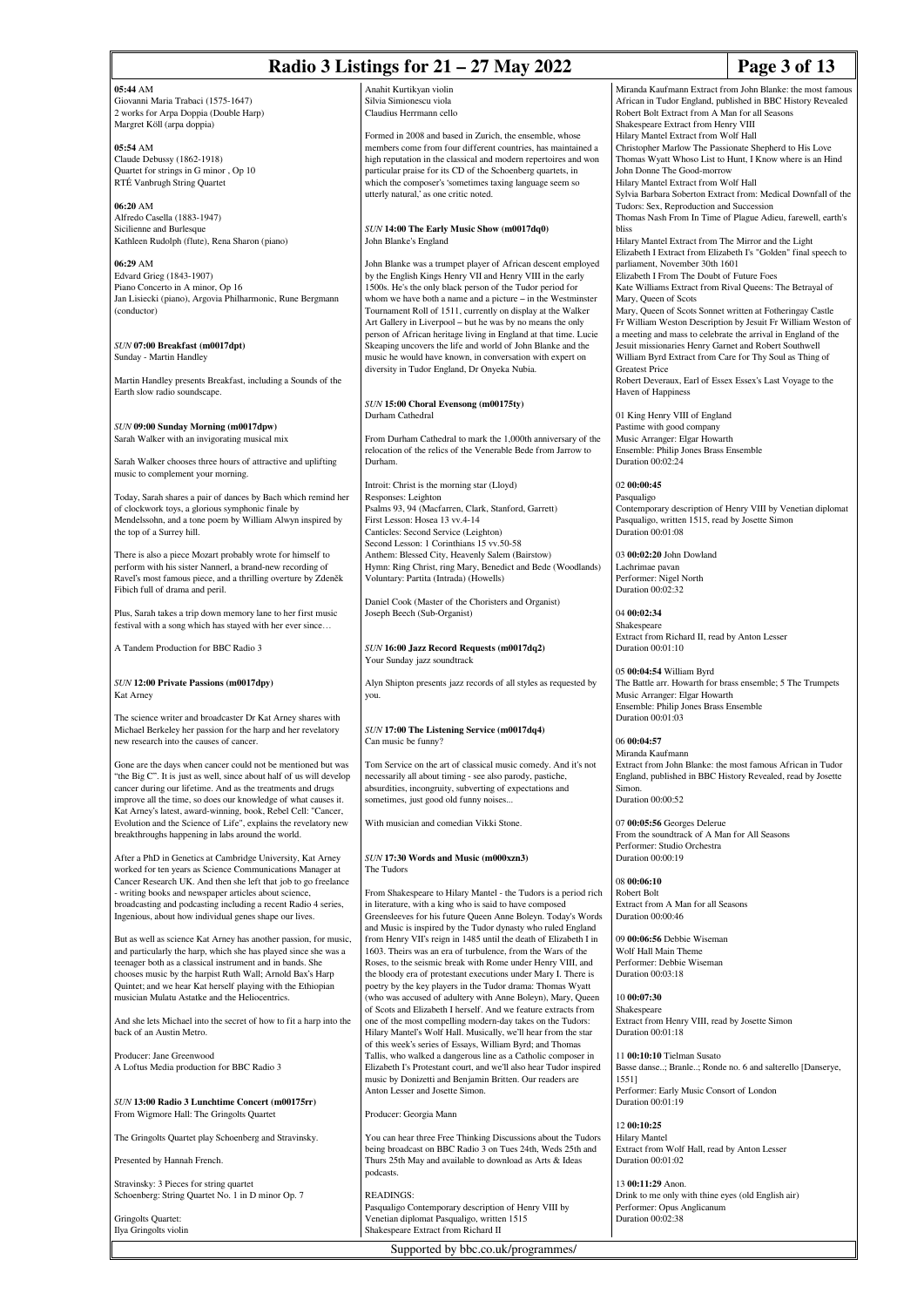# **Radio 3 Listings for 21 – 27 May 2022 Page 3 of 13**

## **05:44** AM

Giovanni Maria Trabaci (1575-1647) 2 works for Arpa Doppia (Double Harp) Margret Köll (arpa doppia)

**05:54** AM Claude Debussy (1862-1918) Quartet for strings in G minor , Op 10 RTÉ Vanbrugh String Quartet

**06:20** AM Alfredo Casella (1883-1947) Sicilienne and Burlesque Kathleen Rudolph (flute), Rena Sharon (piano)

# **06:29** AM

Edvard Grieg (1843-1907) Piano Concerto in A minor, Op 16 Jan Lisiecki (piano), Argovia Philharmonic, Rune Bergmann (conductor)

*SUN* **07:00 Breakfast (m0017dpt)** Sunday - Martin Handley

Martin Handley presents Breakfast, including a Sounds of the Earth slow radio soundscape.

*SUN* **09:00 Sunday Morning (m0017dpw)** Sarah Walker with an invigorating musical mix

Sarah Walker chooses three hours of attractive and uplifting music to complement your morning.

Today, Sarah shares a pair of dances by Bach which remind her of clockwork toys, a glorious symphonic finale by Mendelssohn, and a tone poem by William Alwyn inspired by the top of a Surrey hill.

There is also a piece Mozart probably wrote for himself to perform with his sister Nannerl, a brand-new recording of Ravel's most famous piece, and a thrilling overture by Zdeněk Fibich full of drama and peril.

Plus, Sarah takes a trip down memory lane to her first music festival with a song which has stayed with her ever since

A Tandem Production for BBC Radio 3

## *SUN* **12:00 Private Passions (m0017dpy)** Kat Arney

The science writer and broadcaster Dr Kat Arney shares with Michael Berkeley her passion for the harp and her revelatory new research into the causes of cancer.

Gone are the days when cancer could not be mentioned but was "the Big C". It is just as well, since about half of us will develop cancer during our lifetime. And as the treatments and drugs improve all the time, so does our knowledge of what causes it. Kat Arney's latest, award-winning, book, Rebel Cell: "Cancer, Evolution and the Science of Life", explains the revelatory new breakthroughs happening in labs around the world.

After a PhD in Genetics at Cambridge University, Kat Arney worked for ten years as Science Communications Manager at Cancer Research UK. And then she left that job to go freelance - writing books and newspaper articles about science, broadcasting and podcasting including a recent Radio 4 series, Ingenious, about how individual genes shape our lives.

But as well as science Kat Arney has another passion, for music, and particularly the harp, which she has played since she was a teenager both as a classical instrument and in bands. She chooses music by the harpist Ruth Wall; Arnold Bax's Harp Quintet; and we hear Kat herself playing with the Ethiopian musician Mulatu Astatke and the Heliocentrics.

And she lets Michael into the secret of how to fit a harp into the back of an Austin Metro.

Producer: Jane Greenwood A Loftus Media production for BBC Radio 3

*SUN* **13:00 Radio 3 Lunchtime Concert (m00175rr)** From Wigmore Hall: The Gringolts Quartet

The Gringolts Quartet play Schoenberg and Stravinsky.

Presented by Hannah French.

Stravinsky: 3 Pieces for string quartet Schoenberg: String Quartet No. 1 in D minor Op. 7

Gringolts Quartet: Ilya Gringolts violin

Anahit Kurtikyan violin Silvia Simionescu viola Claudius Herrmann cello

Formed in 2008 and based in Zurich, the ensemble, whose members come from four different countries, has maintained a high reputation in the classical and modern repertoires and won particular praise for its CD of the Schoenberg quartets, in which the composer's 'sometimes taxing language seem so utterly natural,' as one critic noted.

*SUN* **14:00 The Early Music Show (m0017dq0)** John Blanke's England

John Blanke was a trumpet player of African descent employed by the English Kings Henry VII and Henry VIII in the early 1500s. He's the only black person of the Tudor period for whom we have both a name and a picture – in the Westminster Tournament Roll of 1511, currently on display at the Walker Art Gallery in Liverpool – but he was by no means the only person of African heritage living in England at that time. Lucie Skeaping uncovers the life and world of John Blanke and the music he would have known, in conversation with expert on diversity in Tudor England, Dr Onyeka Nubia.

*SUN* **15:00 Choral Evensong (m00175ty)** Durham Cathedral

From Durham Cathedral to mark the 1,000th anniversary of the relocation of the relics of the Venerable Bede from Jarrow to Durham.

Introit: Christ is the morning star (Lloyd) Responses: Leighton Psalms 93, 94 (Macfarren, Clark, Stanford, Garrett) First Lesson: Hosea 13 vv.4-14 Canticles: Second Service (Leighton) Second Lesson: 1 Corinthians 15 vv.50-58 Anthem: Blessed City, Heavenly Salem (Bairstow) Hymn: Ring Christ, ring Mary, Benedict and Bede (Woodlands) Voluntary: Partita (Intrada) (Howells)

Daniel Cook (Master of the Choristers and Organist) Joseph Beech (Sub-Organist)

*SUN* **16:00 Jazz Record Requests (m0017dq2)** Your Sunday jazz soundtrack

Alyn Shipton presents jazz records of all styles as requested by you.

*SUN* **17:00 The Listening Service (m0017dq4)** Can music be funny?

Tom Service on the art of classical music comedy. And it's not necessarily all about timing - see also parody, pastiche, absurdities, incongruity, subverting of expectations and sometimes, just good old funny noises

With musician and comedian Vikki Stone.

## *SUN* **17:30 Words and Music (m000xzn3)** The Tudors

From Shakespeare to Hilary Mantel - the Tudors is a period rich in literature, with a king who is said to have composed Greensleeves for his future Queen Anne Boleyn. Today's Words and Music is inspired by the Tudor dynasty who ruled England from Henry VII's reign in 1485 until the death of Elizabeth I in 1603. Theirs was an era of turbulence, from the Wars of the Roses, to the seismic break with Rome under Henry VIII, and the bloody era of protestant executions under Mary I. There is poetry by the key players in the Tudor drama: Thomas Wyatt (who was accused of adultery with Anne Boleyn), Mary, Queen of Scots and Elizabeth I herself. And we feature extracts from one of the most compelling modern-day takes on the Tudors: Hilary Mantel's Wolf Hall. Musically, we'll hear from the star of this week's series of Essays, William Byrd; and Thomas Tallis, who walked a dangerous line as a Catholic composer in Elizabeth I's Protestant court, and we'll also hear Tudor inspired music by Donizetti and Benjamin Britten. Our readers are Anton Lesser and Josette Simon.

Producer: Georgia Mann

You can hear three Free Thinking Discussions about the Tudors being broadcast on BBC Radio 3 on Tues 24th, Weds 25th and Thurs 25th May and available to download as Arts & Ideas podcasts.

READINGS: Pasqualigo Contemporary description of Henry VIII by Venetian diplomat Pasqualigo, written 1515 Shakespeare Extract from Richard II

Supported by bbc.co.uk/programmes/

Miranda Kaufmann Extract from John Blanke: the most famous African in Tudor England, published in BBC History Revealed Robert Bolt Extract from A Man for all Sea Shakespeare Extract from Henry VIII Hilary Mantel Extract from Wolf Hall Christopher Marlow The Passionate Shepherd to His Love Thomas Wyatt Whoso List to Hunt, I Know where is an Hind John Donne The Good-morrow Hilary Mantel Extract from Wolf Hall Sylvia Barbara Soberton Extract from: Medical Downfall of the Tudors: Sex, Reproduction and Succession Thomas Nash From In Time of Plague Adieu, farewell, earth's bliss Hilary Mantel Extract from The Mirror and the Light Elizabeth I Extract from Elizabeth I's "Golden" final speech to parliament, November 30th 1601 Elizabeth I From The Doubt of Future Foes Kate Williams Extract from Rival Queens: The Betrayal of Mary, Queen of Scots Mary, Queen of Scots Sonnet written at Fotheringay Castle Fr William Weston Description by Jesuit Fr William Weston of a meeting and mass to celebrate the arrival in England of the Jesuit missionaries Henry Garnet and Robert Southwell William Byrd Extract from Care for Thy Soul as Thing of Greatest Price Robert Deveraux, Earl of Essex Essex's Last Voyage to the **Haven of Happiness** 01 King Henry VIII of England Pastime with good company Music Arranger: Elgar Howarth Ensemble: Philip Jones Brass Ensemble Duration 00:02:24 02 **00:00:45** Pasqualigo Contemporary description of Henry VIII by Venetian diplomat Pasqualigo, written 1515, read by Josette Simon Duration 00:01:08 03 **00:02:20** John Dowland Lachrimae pavan Performer: Nigel North Duration 00:02:32

04 **00:02:34** Shakespeare Extract from Richard II, read by Anton Lesser Duration 00:01:10

05 **00:04:54** William Byrd The Battle arr. Howarth for brass ensemble; 5 The Trumpets Music Arranger: Elgar Howarth Ensemble: Philip Jones Brass Ensemble Duration 00:01:03

06 **00:04:57** Miranda Kaufmann Extract from John Blanke: the most famous African in Tudor England, published in BBC History Revealed, read by Josette Simon.

Duration 00:00:52

07 **00:05:56** Georges Delerue From the soundtrack of A Man for All Seasons Performer: Studio Orchestra Duration 00:00:19

08 **00:06:10** Robert Bolt Extract from A Man for all Seasons Duration 00:00:46

09 **00:06:56** Debbie Wiseman Wolf Hall Main Theme Performer: Debbie Wiseman Duration 00:03:18

10 **00:07:30** Shakespeare Extract from Henry VIII, read by Josette Simon Duration 00:01:18

11 **00:10:10** Tielman Susato Basse danse..; Branle..; Ronde no. 6 and salterello [Danserye, 1551] Performer: Early Music Consort of London Duration 00:01:19

12 **00:10:25** Hilary Mantel Extract from Wolf Hall, read by Anton Lesser Duration 00:01:02

13 **00:11:29** Anon. Drink to me only with thine eyes (old English air) Performer: Opus Anglicanum Duration 00:02:38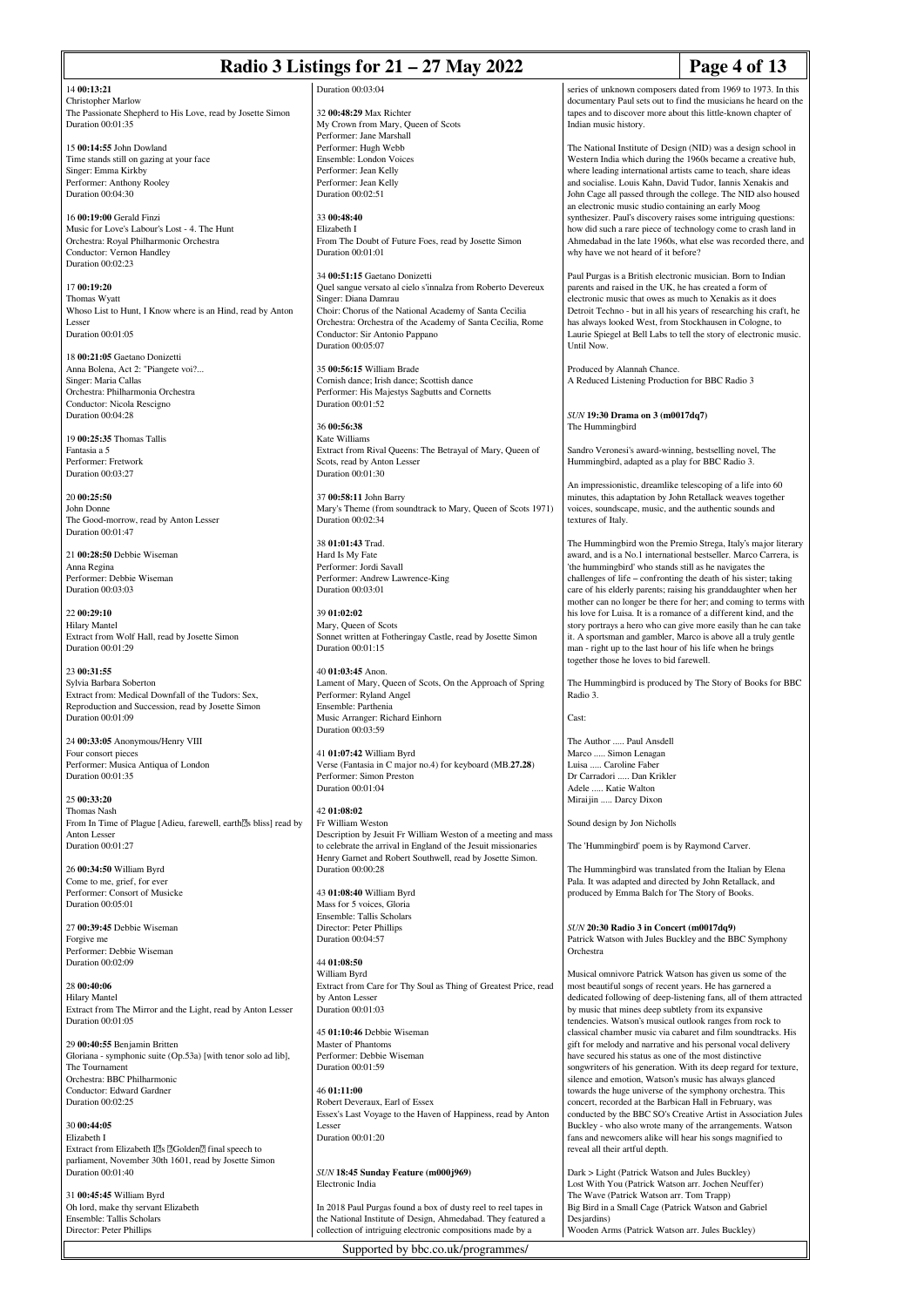# **Radio 3 Listings for 21 – 27 May 2022** Page 4 of 13

14 **00:13:21** Christopher Marlow The Passionate Shepherd to His Love, read by Josette Simon Duration 00:01:35

15 **00:14:55** John Dowland Time stands still on gazing at your face Singer: Emma Kirkby Performer: Anthony Rooley Duration 00:04:30

16 **00:19:00** Gerald Finzi Music for Love's Labour's Lost - 4. The Hunt Orchestra: Royal Philharmonic Orchestra Conductor: Vernon Handley Duration 00:02:23

17 **00:19:20** Thomas Wyatt Whoso List to Hunt, I Know where is an Hind, read by Anton Lesser Duration 00:01:05

18 **00:21:05** Gaetano Donizetti Anna Bolena, Act 2: "Piangete voi?... Singer: Maria Callas Orchestra: Philharmonia Orchestra Conductor: Nicola Rescigno Duration 00:04:28

19 **00:25:35** Thomas Tallis Fantasia a 5 Performer: Fretwork Duration 00:03:27

20 **00:25:50** John Donne The Good-morrow, read by Anton Lesser Duration 00:01:47

21 **00:28:50** Debbie Wiseman Anna Regina Performer: Debbie Wiseman Duration 00:03:03

22 **00:29:10** Hilary Mantel Extract from Wolf Hall, read by Josette Simon Duration 00:01:29

23 **00:31:55** Sylvia Barbara Soberton Extract from: Medical Downfall of the Tudors: Sex, Reproduction and Succession, read by Josette Simon Duration 00:01:09

24 **00:33:05** Anonymous/Henry VIII Four consort pieces Performer: Musica Antiqua of London Duration 00:01:35

25 **00:33:20** Thomas Nash From In Time of Plague [Adieu, farewell, earth<sup>[9]</sup>s bliss] read by Anton Lesser Duration 00:01:27

26 **00:34:50** William Byrd Come to me, grief, for ever Performer: Consort of Musicke Duration 00:05:01

27 **00:39:45** Debbie Wiseman Forgive me Performer: Debbie Wiseman Duration 00:02:09

28 **00:40:06** Hilary Mantel Extract from The Mirror and the Light, read by Anton Lesser Duration 00:01:05

29 **00:40:55** Benjamin Britten Gloriana - symphonic suite (Op.53a) [with tenor solo ad lib], The Tournament Orchestra: BBC Philharmonic Conductor: Edward Gardner Duration 00:02:25

30 **00:44:05** Elizabeth I Extract from Elizabeth I<sup>n</sup>s **n**Golden<sup>*n*</sup> final speech to parliament, November 30th 1601, read by Josette Simon Duration 00:01:40

31 **00:45:45** William Byrd Oh lord, make thy servant Elizabeth Ensemble: Tallis Scholars Director: Peter Phillips

Duration 00:03:04

32 **00:48:29** Max Richter My Crown from Mary, Queen of Scots Performer: Jane Marshall Performer: Hugh Webb Ensemble: London Voices Performer: Jean Kelly Performer: Jean Kelly Duration 00:02:51

33 **00:48:40** Elizabeth I From The Doubt of Future Foes, read by Josette Simon Duration 00:01:01

34 **00:51:15** Gaetano Donizetti Quel sangue versato al cielo s'innalza from Roberto Devereux Singer: Diana Damrau Choir: Chorus of the National Academy of Santa Cecilia Orchestra: Orchestra of the Academy of Santa Cecilia, Rome Conductor: Sir Antonio Pappano Duration 00:05:07

35 **00:56:15** William Brade Cornish dance; Irish dance; Scottish dance Performer: His Majestys Sagbutts and Cornetts Duration 00:01:52

36 **00:56:38** Kate Williams Extract from Rival Queens: The Betrayal of Mary, Queen of Scots, read by Anton Lesser Duration 00:01:30

37 **00:58:11** John Barry Mary's Theme (from soundtrack to Mary, Queen of Scots 1971) Duration 00:02:34

38 **01:01:43** Trad. Hard Is My Fate Performer: Jordi Savall Performer: Andrew Lawrence-King Duration 00:03:01

39 **01:02:02** Mary, Queen of Scots Sonnet written at Fotheringay Castle, read by Josette Simon Duration 00:01:15

40 **01:03:45** Anon. Lament of Mary, Queen of Scots, On the Approach of Spring Performer: Ryland Angel Ensemble: Parthenia Music Arranger: Richard Einhorn Duration 00:03:59

41 **01:07:42** William Byrd Verse (Fantasia in C major no.4) for keyboard (MB.**27.28**) Performer: Simon Preston Duration 00:01:04

42 **01:08:02** Fr William Weston Description by Jesuit Fr William Weston of a meeting and mass to celebrate the arrival in England of the Jesuit missionaries Henry Garnet and Robert Southwell, read by Josette Simon Duration 00:00:28

43 **01:08:40** William Byrd Mass for 5 voices, Gloria Ensemble: Tallis Scholars Director: Peter Phillips Duration 00:04:57

44 **01:08:50** William Byrd Extract from Care for Thy Soul as Thing of Greatest Price, read by Anton Lesser Duration 00:01:03

45 **01:10:46** Debbie Wiseman Master of Phantoms Performer: Debbie Wiseman Duration 00:01:59

46 **01:11:00** Robert Deveraux, Earl of Essex Essex's Last Voyage to the Haven of Happiness, read by Anton Lesser Duration 00:01:20

*SUN* **18:45 Sunday Feature (m000j969)** Electronic India

In 2018 Paul Purgas found a box of dusty reel to reel tapes in the National Institute of Design, Ahmedabad. They featured a collection of intriguing electronic compositions made by a

Supported by bbc.co.uk/programmes/

series of unknown composers dated from 1969 to 1973. In this documentary Paul sets out to find the musicians he heard on the tapes and to discover more about this little-known chapter of Indian music history.

The National Institute of Design (NID) was a design school in Western India which during the 1960s became a creative hub, where leading international artists came to teach, share ideas and socialise. Louis Kahn, David Tudor, Iannis Xenakis and John Cage all passed through the college. The NID also housed an electronic music studio containing an early Moog synthesizer. Paul's discovery raises some intriguing question how did such a rare piece of technology come to crash land in Ahmedabad in the late 1960s, what else was recorded there, and why have we not heard of it before?

Paul Purgas is a British electronic musician. Born to Indian parents and raised in the UK, he has created a form of electronic music that owes as much to Xenakis as it does Detroit Techno - but in all his years of researching his craft, he has always looked West, from Stockhausen in Cologne, to Laurie Spiegel at Bell Labs to tell the story of electronic music. Until Now.

Produced by Alannah Chance. A Reduced Listening Production for BBC Radio 3

*SUN* **19:30 Drama on 3 (m0017dq7)** The Hummingbird

Sandro Veronesi's award-winning, bestselling novel, The Hummingbird, adapted as a play for BBC Radio 3.

An impressionistic, dreamlike telescoping of a life into 60 minutes, this adaptation by John Retallack weaves together voices, soundscape, music, and the authentic sounds and textures of Italy.

The Hummingbird won the Premio Strega, Italy's major literary award, and is a No.1 international bestseller. Marco Carrera, is 'the hummingbird' who stands still as he navigates the challenges of life – confronting the death of his sister; taking care of his elderly parents; raising his granddaughter when her mother can no longer be there for her; and coming to terms with his love for Luisa. It is a romance of a different kind, and the story portrays a hero who can give more easily than he can take it. A sportsman and gambler, Marco is above all a truly gentle man - right up to the last hour of his life when he brings together those he loves to bid farewell.

The Hummingbird is produced by The Story of Books for BBC Radio 3.

Cast:

The Author ..... Paul Ansdell Marco ..... Simon Lenagan Luisa .... Caroline Faber Dr Carradori ..... Dan Krikler Adele ..... Katie Walton Miraijin ..... Darcy Dixon

Sound design by Jon Nicholls

The 'Hummingbird' poem is by Raymond Carver.

The Hummingbird was translated from the Italian by Elena Pala. It was adapted and directed by John Retallack, and produced by Emma Balch for The Story of Books.

*SUN* **20:30 Radio 3 in Concert (m0017dq9)** Patrick Watson with Jules Buckley and the BBC Symphony Orchestra

Musical omnivore Patrick Watson has given us some of the most beautiful songs of recent years. He has garnered a dedicated following of deep-listening fans, all of them attracted by music that mines deep subtlety from its expansive tendencies. Watson's musical outlook ranges from rock to classical chamber music via cabaret and film soundtracks. His gift for melody and narrative and his personal vocal delivery have secured his status as one of the most distinctive songwriters of his generation. With its deep regard for texture, silence and emotion, Watson's music has always glanced towards the huge universe of the symphony orchestra. This concert, recorded at the Barbican Hall in February, was conducted by the BBC SO's Creative Artist in Association Jules Buckley - who also wrote many of the arrangements. Watson fans and newcomers alike will hear his songs magnified to reveal all their artful depth.

Dark > Light (Patrick Watson and Jules Buckley) Lost With You (Patrick Watson arr. Jochen Neuffer) The Wave (Patrick Watson arr. Tom Trapp) Big Bird in a Small Cage (Patrick Watson and Gabriel Desjardins) Wooden Arms (Patrick Watson arr. Jules Buckley)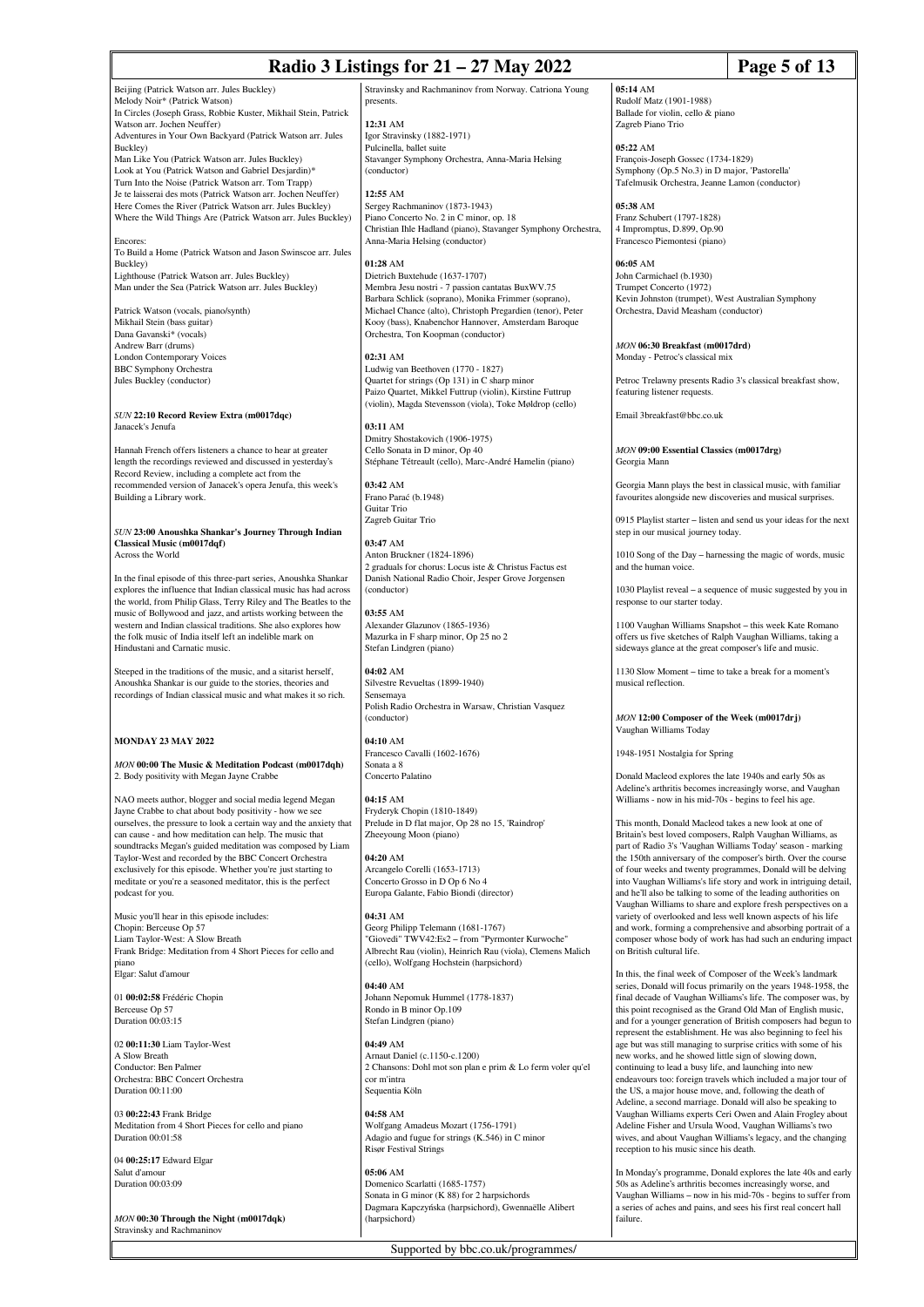# **Radio 3 Listings for 21 – 27 May 2022 Page 5 of 13**

Beijing (Patrick Watson arr. Jules Buckley) Melody Noir\* (Patrick Watson) In Circles (Joseph Grass, Robbie Kuster, Mikhail Stein, Patrick Watson arr. Jochen Neuffer) Adventures in Your Own Backyard (Patrick Watson arr. Jules Buckley) Man Like You (Patrick Watson arr. Jules Buckley) Look at You (Patrick Watson and Gabriel Desjardin)<sup>\*</sup> Turn Into the Noise (Patrick Watson arr. Tom Trapp) Je te laisserai des mots (Patrick Watson arr. Jochen Neuffer) Here Comes the River (Patrick Watson arr. Jules Buckley) Where the Wild Things Are (Patrick Watson arr. Jules Buckley) Encores: To Build a Home (Patrick Watson and Jason Swinscoe arr. Jules Buckley) Lighthouse (Patrick Watson arr. Jules Buckley) Man under the Sea (Patrick Watson arr. Jules Buckley)

Patrick Watson (vocals, piano/synth) Mikhail Stein (bass guitar) Dana Gavanski\* (vocals) Andrew Barr (drums) London Contemporary Voices BBC Symphony Orchestra Jules Buckley (conductor)

## *SUN* **22:10 Record Review Extra (m0017dqc)** Janacek's Jenufa

Hannah French offers listeners a chance to hear at greater length the recordings reviewed and discussed in yesterday's Record Review, including a complete act from the recommended version of Janacek's opera Jenufa, this week's Building a Library work.

*SUN* **23:00 Anoushka Shankar's Journey Through Indian Classical Music (m0017dqf)** Across the World

In the final episode of this three-part series, Anoushka Shankar explores the influence that Indian classical music has had across the world, from Philip Glass, Terry Riley and The Beatles to the music of Bollywood and jazz, and artists working between the western and Indian classical traditions. She also explores how the folk music of India itself left an indelible mark on Hindustani and Carnatic music.

Steeped in the traditions of the music, and a sitarist herself, Anoushka Shankar is our guide to the stories, theories and recordings of Indian classical music and what makes it so rich.

## **MONDAY 23 MAY 2022**

*MON* **00:00 The Music & Meditation Podcast (m0017dqh)** 2. Body positivity with Megan Jayne Crabbe

NAO meets author, blogger and social media legend Megan Jayne Crabbe to chat about body positivity - how we see ourselves, the pressure to look a certain way and the anxiety that can cause - and how meditation can help. The music that soundtracks Megan's guided meditation was composed by Liam Taylor-West and recorded by the BBC Concert Orchestra exclusively for this episode. Whether you're just starting to meditate or you're a seasoned meditator, this is the perfect podcast for you.

Music you'll hear in this episode includes: Chopin: Berceuse Op 57 Liam Taylor-West: A Slow Breath Frank Bridge: Meditation from 4 Short Pieces for cello and piano Elgar: Salut d'amour

01 **00:02:58** Frédéric Chopin Berceuse Op 57 Duration 00:03:15

02 **00:11:30** Liam Taylor-West A Slow Breath Conductor: Ben Palmer Orchestra: BBC Concert Orchestra Duration 00:11:00

03 **00:22:43** Frank Bridge Meditation from 4 Short Pieces for cello and piano Duration 00:01:58

04 **00:25:17** Edward Elgar Salut d'amour Duration 00:03:09

*MON* **00:30 Through the Night (m0017dqk)** Stravinsky and Rachmaninov

Stravinsky and Rachmaninov from Norway. Catriona Young presents.

**12:31** AM Igor Stravinsky (1882-1971) Pulcinella, ballet suite Stavanger Symphony Orchestra, Anna-Maria Helsing (conductor)

**12:55** AM Sergey Rachmaninov (1873-1943) Piano Concerto No. 2 in C minor, op. 18 Christian Ihle Hadland (piano), Stavanger Symphony Orchestra, Anna-Maria Helsing (conductor)

**01:28** AM Dietrich Buxtehude (1637-1707) Membra Jesu nostri - 7 passion cantatas BuxWV.75 Barbara Schlick (soprano), Monika Frimmer (soprano), Michael Chance (alto), Christoph Pregardien (tenor), Peter Kooy (bass), Knabenchor Hannover, Amsterdam Baroque Orchestra, Ton Koopman (conductor)

**02:31** AM Ludwig van Beethoven (1770 - 1827) Quartet for strings (Op 131) in C sharp minor Paizo Quartet, Mikkel Futtrup (violin), Kirstine Futtrup (violin), Magda Stevensson (viola), Toke Møldrop (cello)

**03:11** AM Dmitry Shostakovich (1906-1975) Cello Sonata in D minor, Op 40 Stéphane Tétreault (cello), Marc-André Hamelin (piano)

**03:42** AM Frano Parać (b.1948) Guitar Trio Zagreb Guitar Trio

**03:47** AM Anton Bruckner (1824-1896) 2 graduals for chorus: Locus iste & Christus Factus est Danish National Radio Choir, Jesper Grove Jorgensen (conductor)

**03:55** AM Alexander Glazunov (1865-1936) Mazurka in F sharp minor, Op 25 no 2 Stefan Lindgren (piano)

**04:02** AM Silvestre Revueltas (1899-1940) Sensemaya Polish Radio Orchestra in Warsaw, Christian Vasquez (conductor)

**04:10** AM Francesco Cavalli (1602-1676) Sonata a 8 Concerto Palatino

**04:15** AM Fryderyk Chopin (1810-1849) Prelude in D flat major, Op 28 no 15, 'Raindrop' Zheeyoung Moon (piano)

**04:20** AM Arcangelo Corelli (1653-1713) Concerto Grosso in D Op 6 No 4 Europa Galante, Fabio Biondi (director)

**04:31** AM Georg Philipp Telemann (1681-1767) "Giovedi" TWV42:Es2 – from "Pyrmonter Kurwoche" Albrecht Rau (violin), Heinrich Rau (viola), Clemens Malich (cello), Wolfgang Hochstein (harpsichord)

**04:40** AM Johann Nepomuk Hummel (1778-1837) Rondo in B minor Op.109 Stefan Lindgren (piano)

**04:49** AM Arnaut Daniel (c.1150-c.1200) 2 Chansons: Dohl mot son plan e prim & Lo ferm voler qu'el cor m'intra Sequentia Köln

**04:58** AM Wolfgang Amadeus Mozart (1756-1791) Adagio and fugue for strings (K.546) in C minor Risør Festival Strings

**05:06** AM Domenico Scarlatti (1685-1757) Sonata in G minor (K 88) for 2 harpsichords Dagmara Kapczyńska (harpsichord), Gwennaëlle Alibert (harpsichord)

**05:14** AM Rudolf Matz (1901-1988) Ballade for violin, cello & piano Zagreb Piano Trio

**05:22** AM François-Joseph Gossec (1734-1829) Symphony (Op.5 No.3) in D major, 'Pastorella' Tafelmusik Orchestra, Jeanne Lamon (conductor)

**05:38** AM Franz Schubert (1797-1828) 4 Impromptus, D.899, Op.90 Francesco Piemontesi (piano)

**06:05** AM John Carmichael (b.1930) Trumpet Concerto (1972) Kevin Johnston (trumpet), West Australian Symphony Orchestra, David Measham (conductor)

*MON* **06:30 Breakfast (m0017drd)** Monday - Petroc's classical mix

Petroc Trelawny presents Radio 3's classical breakfast show, featuring listener requests.

Email 3breakfast@bbc.co.uk

*MON* **09:00 Essential Classics (m0017drg)** Georgia Mann

Georgia Mann plays the best in classical music, with familiar favourites alongside new discoveries and musical surprises.

0915 Playlist starter – listen and send us your ideas for the next step in our musical journey today.

1010 Song of the Day – harnessing the magic of words, music and the human voice.

1030 Playlist reveal – a sequence of music suggested by you in response to our starter today.

1100 Vaughan Williams Snapshot – this week Kate Romano offers us five sketches of Ralph Vaughan Williams, taking a sideways glance at the great composer's life and music.

1130 Slow Moment – time to take a break for a moment's musical reflection.

## *MON* **12:00 Composer of the Week (m0017drj)** Vaughan Williams Today

1948-1951 Nostalgia for Spring

Donald Macleod explores the late 1940s and early 50s as Adeline's arthritis becomes increasingly worse, and Vaughan Williams - now in his mid-70s - begins to feel his age.

This month, Donald Macleod takes a new look at one of Britain's best loved composers, Ralph Vaughan Williams, as part of Radio 3's 'Vaughan Williams Today' season - marking the 150th anniversary of the composer's birth. Over the cours of four weeks and twenty programmes, Donald will be delving into Vaughan Williams's life story and work in intriguing detail, and he'll also be talking to some of the leading authorities on Vaughan Williams to share and explore fresh perspectives on a variety of overlooked and less well known aspects of his life and work, forming a comprehensive and absorbing portrait of a composer whose body of work has had such an enduring impact on British cultural life.

In this, the final week of Composer of the Week's landmark series, Donald will focus primarily on the years 1948-1958, the final decade of Vaughan Williams's life. The composer was, by this point recognised as the Grand Old Man of English music, and for a younger generation of British composers had begun to represent the establishment. He was also beginning to feel his age but was still managing to surprise critics with some of his new works, and he showed little sign of slowing down, continuing to lead a busy life, and launching into new endeavours too: foreign travels which included a major tour of the US, a major house move, and, following the death of Adeline, a second marriage. Donald will also be speaking to Vaughan Williams experts Ceri Owen and Alain Frogley about Adeline Fisher and Ursula Wood, Vaughan Williams's two wives, and about Vaughan Williams's legacy, and the changing reception to his music since his death.

In Monday's programme, Donald explores the late 40s and early 50s as Adeline's arthritis becomes increasingly worse, and Vaughan Williams – now in his mid-70s - begins to suffer from a series of aches and pains, and sees his first real concert hall failure.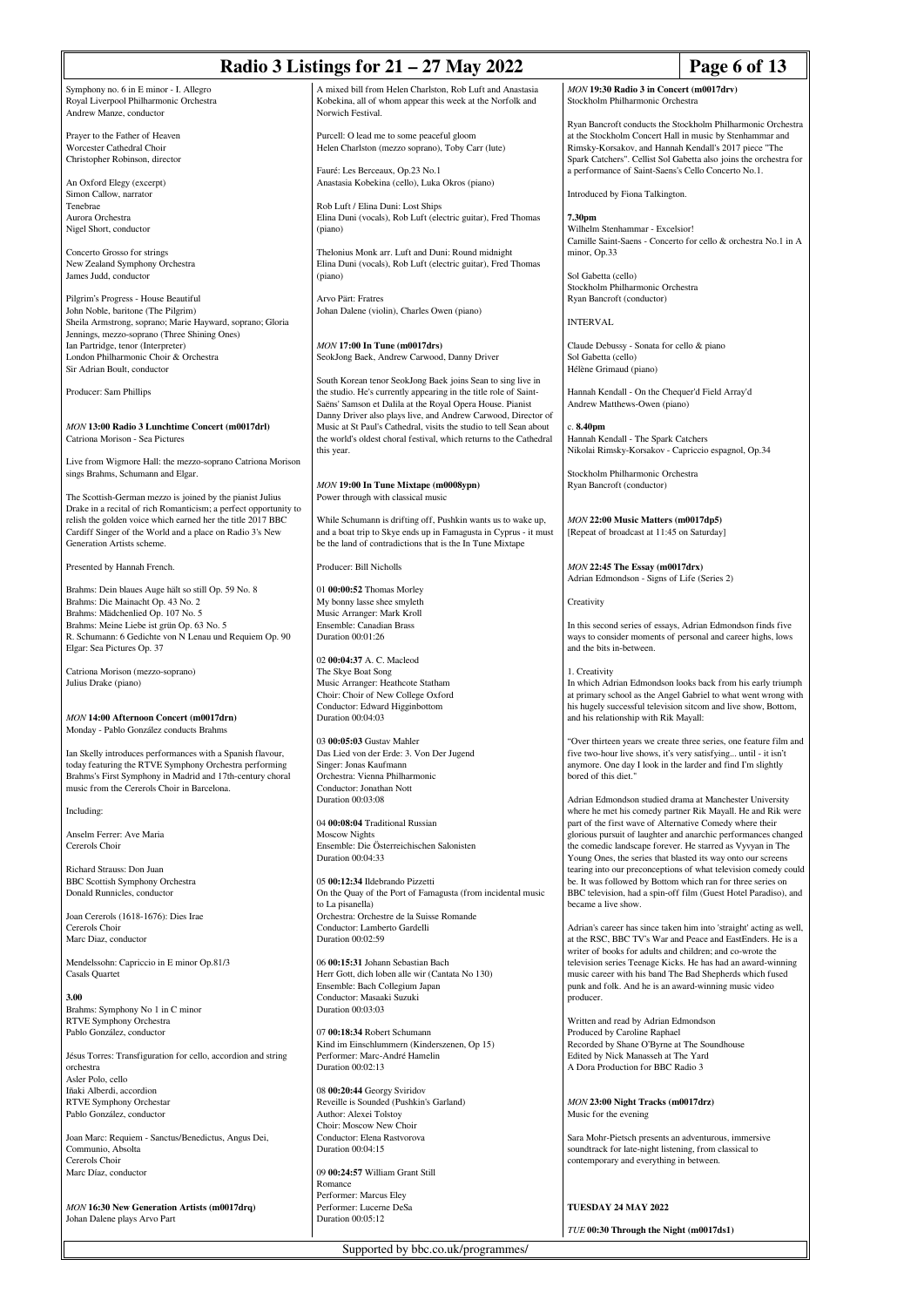| Radio 3 Listings for $21 - 27$ May 2022<br>Page 6 of 13                                                                                                                                                                                                            |                                                                                                                                                                                                                                                               |                                                                                                                                                                                                                                                       |  |
|--------------------------------------------------------------------------------------------------------------------------------------------------------------------------------------------------------------------------------------------------------------------|---------------------------------------------------------------------------------------------------------------------------------------------------------------------------------------------------------------------------------------------------------------|-------------------------------------------------------------------------------------------------------------------------------------------------------------------------------------------------------------------------------------------------------|--|
| Symphony no. 6 in E minor - I. Allegro<br>Royal Liverpool Philharmonic Orchestra<br>Andrew Manze, conductor                                                                                                                                                        | A mixed bill from Helen Charlston, Rob Luft and Anastasia<br>Kobekina, all of whom appear this week at the Norfolk and<br>Norwich Festival.                                                                                                                   | MON 19:30 Radio 3 in Concert (m0017drv)<br>Stockholm Philharmonic Orchestra                                                                                                                                                                           |  |
| Prayer to the Father of Heaven<br>Worcester Cathedral Choir<br>Christopher Robinson, director                                                                                                                                                                      | Purcell: O lead me to some peaceful gloom<br>Helen Charlston (mezzo soprano), Toby Carr (lute)                                                                                                                                                                | Ryan Bancroft conducts the Stockholm Philharmonic Orchestra<br>at the Stockholm Concert Hall in music by Stenhammar and<br>Rimsky-Korsakov, and Hannah Kendall's 2017 piece "The<br>Spark Catchers". Cellist Sol Gabetta also joins the orchestra for |  |
| An Oxford Elegy (excerpt)<br>Simon Callow, narrator                                                                                                                                                                                                                | Fauré: Les Berceaux, Op.23 No.1<br>Anastasia Kobekina (cello), Luka Okros (piano)                                                                                                                                                                             | a performance of Saint-Saens's Cello Concerto No.1.<br>Introduced by Fiona Talkington.                                                                                                                                                                |  |
| Tenebrae<br>Aurora Orchestra<br>Nigel Short, conductor                                                                                                                                                                                                             | Rob Luft / Elina Duni: Lost Ships<br>Elina Duni (vocals), Rob Luft (electric guitar), Fred Thomas<br>(piano)                                                                                                                                                  | 7.30pm<br>Wilhelm Stenhammar - Excelsior!<br>Camille Saint-Saens - Concerto for cello & orchestra No.1 in A                                                                                                                                           |  |
| Concerto Grosso for strings<br>New Zealand Symphony Orchestra<br>James Judd, conductor                                                                                                                                                                             | Thelonius Monk arr. Luft and Duni: Round midnight<br>Elina Duni (vocals), Rob Luft (electric guitar), Fred Thomas<br>(piano)                                                                                                                                  | minor, Op.33<br>Sol Gabetta (cello)<br>Stockholm Philharmonic Orchestra                                                                                                                                                                               |  |
| Pilgrim's Progress - House Beautiful<br>John Noble, baritone (The Pilgrim)<br>Sheila Armstrong, soprano; Marie Hayward, soprano; Gloria                                                                                                                            | Arvo Pärt: Fratres<br>Johan Dalene (violin), Charles Owen (piano)                                                                                                                                                                                             | Ryan Bancroft (conductor)<br><b>INTERVAL</b>                                                                                                                                                                                                          |  |
| Jennings, mezzo-soprano (Three Shining Ones)<br>Ian Partridge, tenor (Interpreter)<br>London Philharmonic Choir & Orchestra<br>Sir Adrian Boult, conductor                                                                                                         | <b>MON 17:00 In Tune (m0017drs)</b><br>SeokJong Baek, Andrew Carwood, Danny Driver                                                                                                                                                                            | Claude Debussy - Sonata for cello & piano<br>Sol Gabetta (cello)<br>Hélène Grimaud (piano)                                                                                                                                                            |  |
| Producer: Sam Phillips                                                                                                                                                                                                                                             | South Korean tenor SeokJong Baek joins Sean to sing live in<br>the studio. He's currently appearing in the title role of Saint-<br>Saëns' Samson et Dalila at the Royal Opera House. Pianist<br>Danny Driver also plays live, and Andrew Carwood, Director of | Hannah Kendall - On the Chequer'd Field Array'd<br>Andrew Matthews-Owen (piano)                                                                                                                                                                       |  |
| MON 13:00 Radio 3 Lunchtime Concert (m0017drl)<br>Catriona Morison - Sea Pictures                                                                                                                                                                                  | Music at St Paul's Cathedral, visits the studio to tell Sean about<br>the world's oldest choral festival, which returns to the Cathedral<br>this year.                                                                                                        | c. 8.40pm<br>Hannah Kendall - The Spark Catchers<br>Nikolai Rimsky-Korsakov - Capriccio espagnol, Op.34                                                                                                                                               |  |
| Live from Wigmore Hall: the mezzo-soprano Catriona Morison<br>sings Brahms, Schumann and Elgar.<br>The Scottish-German mezzo is joined by the pianist Julius                                                                                                       | MON 19:00 In Tune Mixtape (m0008ypn)<br>Power through with classical music                                                                                                                                                                                    | Stockholm Philharmonic Orchestra<br>Ryan Bancroft (conductor)                                                                                                                                                                                         |  |
| Drake in a recital of rich Romanticism; a perfect opportunity to<br>relish the golden voice which earned her the title 2017 BBC<br>Cardiff Singer of the World and a place on Radio 3's New<br>Generation Artists scheme.                                          | While Schumann is drifting off, Pushkin wants us to wake up,<br>and a boat trip to Skye ends up in Famagusta in Cyprus - it must<br>be the land of contradictions that is the In Tune Mixtape                                                                 | MON 22:00 Music Matters (m0017dp5)<br>[Repeat of broadcast at 11:45 on Saturday]                                                                                                                                                                      |  |
| Presented by Hannah French.                                                                                                                                                                                                                                        | Producer: Bill Nicholls                                                                                                                                                                                                                                       | MON 22:45 The Essay (m0017drx)                                                                                                                                                                                                                        |  |
| Brahms: Dein blaues Auge hält so still Op. 59 No. 8<br>Brahms: Die Mainacht Op. 43 No. 2<br>Brahms: Mädchenlied Op. 107 No. 5<br>Brahms: Meine Liebe ist grün Op. 63 No. 5<br>R. Schumann: 6 Gedichte von N Lenau und Requiem Op. 90<br>Elgar: Sea Pictures Op. 37 | 01 00:00:52 Thomas Morley<br>My bonny lasse shee smyleth<br>Music Arranger: Mark Kroll<br>Ensemble: Canadian Brass<br>Duration 00:01:26                                                                                                                       | Adrian Edmondson - Signs of Life (Series 2)<br>Creativity<br>In this second series of essays, Adrian Edmondson finds five<br>ways to consider moments of personal and career highs, lows<br>and the bits in-between.                                  |  |
| Catriona Morison (mezzo-soprano)<br>Julius Drake (piano)                                                                                                                                                                                                           | 02 00:04:37 A. C. Macleod<br>The Skye Boat Song<br>Music Arranger: Heathcote Statham<br>Choir: Choir of New College Oxford                                                                                                                                    | 1. Creativity<br>In which Adrian Edmondson looks back from his early triumph<br>at primary school as the Angel Gabriel to what went wrong with                                                                                                        |  |
| MON 14:00 Afternoon Concert (m0017drn)<br>Monday - Pablo González conducts Brahms                                                                                                                                                                                  | Conductor: Edward Higginbottom<br>Duration 00:04:03                                                                                                                                                                                                           | his hugely successful television sitcom and live show, Bottom,<br>and his relationship with Rik Mayall:                                                                                                                                               |  |
| Ian Skelly introduces performances with a Spanish flavour,<br>today featuring the RTVE Symphony Orchestra performing<br>Brahms's First Symphony in Madrid and 17th-century choral<br>music from the Cererols Choir in Barcelona.                                   | 03 00:05:03 Gustav Mahler<br>Das Lied von der Erde: 3. Von Der Jugend<br>Singer: Jonas Kaufmann<br>Orchestra: Vienna Philharmonic<br>Conductor: Jonathan Nott                                                                                                 | "Over thirteen years we create three series, one feature film and<br>five two-hour live shows, it's very satisfying until - it isn't<br>anymore. One day I look in the larder and find I'm slightly<br>bored of this diet."                           |  |
| Including:                                                                                                                                                                                                                                                         | Duration 00:03:08<br>04 00:08:04 Traditional Russian                                                                                                                                                                                                          | Adrian Edmondson studied drama at Manchester University<br>where he met his comedy partner Rik Mayall. He and Rik were<br>part of the first wave of Alternative Comedy where their                                                                    |  |
| Anselm Ferrer: Ave Maria<br>Cererols Choir                                                                                                                                                                                                                         | <b>Moscow Nights</b><br>Ensemble: Die Österreichischen Salonisten<br>Duration 00:04:33                                                                                                                                                                        | glorious pursuit of laughter and anarchic performances changed<br>the comedic landscape forever. He starred as Vyvyan in The<br>Young Ones, the series that blasted its way onto our screens                                                          |  |
| Richard Strauss: Don Juan<br><b>BBC Scottish Symphony Orchestra</b><br>Donald Runnicles, conductor                                                                                                                                                                 | 05 00:12:34 Ildebrando Pizzetti<br>On the Quay of the Port of Famagusta (from incidental music<br>to La pisanella)                                                                                                                                            | tearing into our preconceptions of what television comedy could<br>be. It was followed by Bottom which ran for three series on<br>BBC television, had a spin-off film (Guest Hotel Paradiso), and<br>became a live show.                              |  |
| Joan Cererols (1618-1676): Dies Irae<br>Cererols Choir<br>Marc Diaz, conductor                                                                                                                                                                                     | Orchestra: Orchestre de la Suisse Romande<br>Conductor: Lamberto Gardelli<br>Duration 00:02:59                                                                                                                                                                | Adrian's career has since taken him into 'straight' acting as well,<br>at the RSC, BBC TV's War and Peace and EastEnders. He is a<br>writer of books for adults and children; and co-wrote the                                                        |  |
| Mendelssohn: Capriccio in E minor Op.81/3<br><b>Casals Quartet</b>                                                                                                                                                                                                 | 06 00:15:31 Johann Sebastian Bach<br>Herr Gott, dich loben alle wir (Cantata No 130)<br>Ensemble: Bach Collegium Japan                                                                                                                                        | television series Teenage Kicks. He has had an award-winning<br>music career with his band The Bad Shepherds which fused<br>punk and folk. And he is an award-winning music video                                                                     |  |
| 3.00<br>Brahms: Symphony No 1 in C minor<br>RTVE Symphony Orchestra<br>Pablo González, conductor                                                                                                                                                                   | Conductor: Masaaki Suzuki<br>Duration 00:03:03<br>07 00:18:34 Robert Schumann                                                                                                                                                                                 | producer.<br>Written and read by Adrian Edmondson<br>Produced by Caroline Raphael                                                                                                                                                                     |  |
| Jésus Torres: Transfiguration for cello, accordion and string<br>orchestra<br>Asler Polo, cello                                                                                                                                                                    | Kind im Einschlummern (Kinderszenen, Op 15)<br>Performer: Marc-André Hamelin<br>Duration 00:02:13                                                                                                                                                             | Recorded by Shane O'Byrne at The Soundhouse<br>Edited by Nick Manasseh at The Yard<br>A Dora Production for BBC Radio 3                                                                                                                               |  |
| Iñaki Alberdi, accordion<br>RTVE Symphony Orchestar<br>Pablo González, conductor                                                                                                                                                                                   | 08 00:20:44 Georgy Sviridov<br>Reveille is Sounded (Pushkin's Garland)<br>Author: Alexei Tolstoy                                                                                                                                                              | MON 23:00 Night Tracks (m0017drz)<br>Music for the evening                                                                                                                                                                                            |  |
| Joan Marc: Requiem - Sanctus/Benedictus, Angus Dei,<br>Communio, Absolta<br>Cererols Choir                                                                                                                                                                         | Choir: Moscow New Choir<br>Conductor: Elena Rastvorova<br>Duration 00:04:15                                                                                                                                                                                   | Sara Mohr-Pietsch presents an adventurous, immersive<br>soundtrack for late-night listening, from classical to<br>contemporary and everything in between.                                                                                             |  |
| Marc Díaz, conductor                                                                                                                                                                                                                                               | 09 00:24:57 William Grant Still<br>Romance                                                                                                                                                                                                                    |                                                                                                                                                                                                                                                       |  |
| <b>MON 16:30 New Generation Artists (m0017drq)</b>                                                                                                                                                                                                                 | Performer: Marcus Eley<br>Performer: Lucerne DeSa                                                                                                                                                                                                             | <b>TUESDAY 24 MAY 2022</b>                                                                                                                                                                                                                            |  |

*MON* **16:30 New Generation Artists (m0017drq)** Johan Dalene plays Arvo Part

Supported by bbc.co.uk/programmes/

*TUE* **00:30 Through the Night (m0017ds1)**

Duration 00:05:12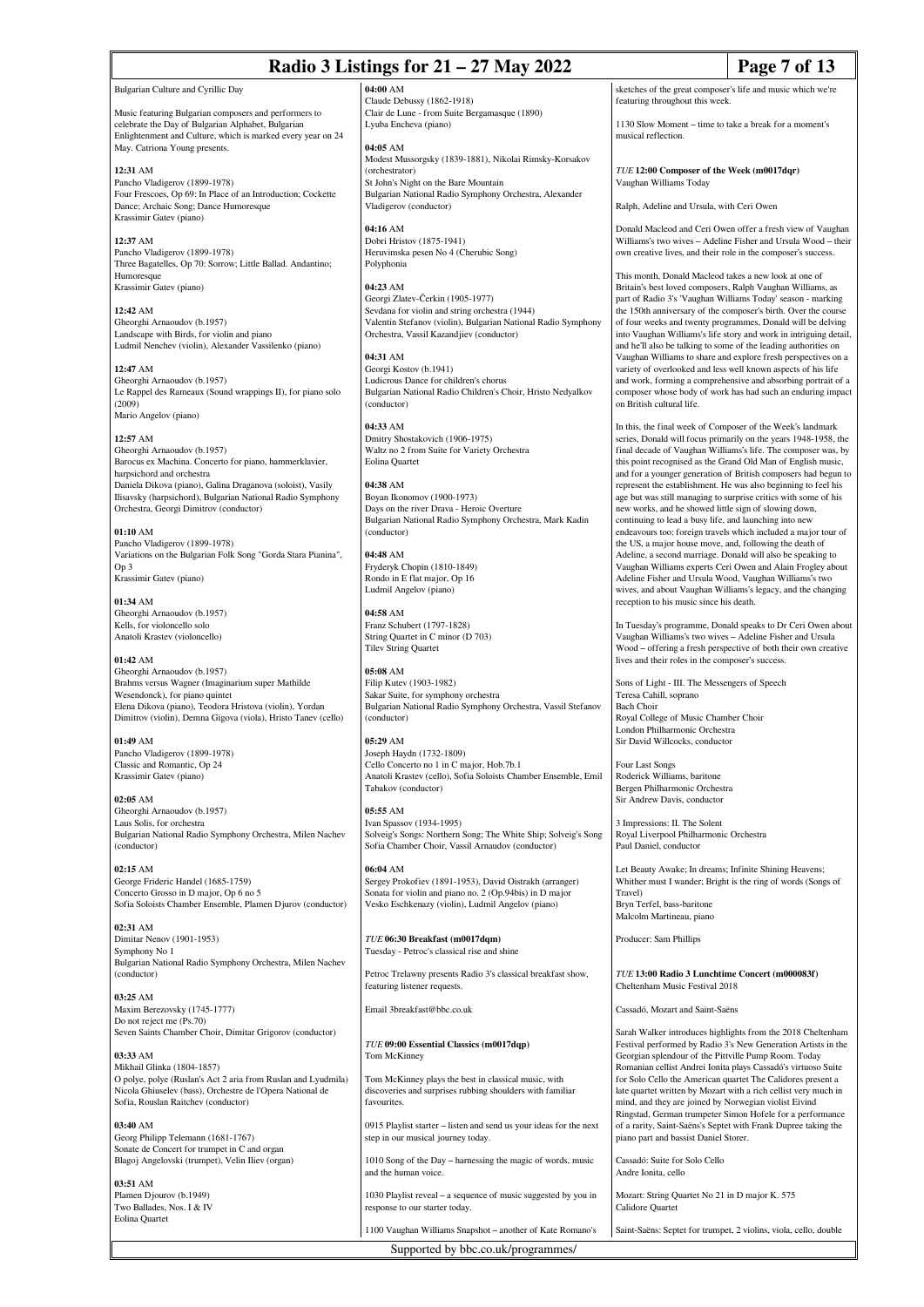# **Radio 3 Listings for 21 – 27 May 2022** Page 7 of 13

Bulgarian Culture and Cyrillic Day

sic featuring Bulgarian composers and performers to celebrate the Day of Bulgarian Alphabet, Bulgarian Enlightenment and Culture, which is marked every year on 24 May. Catriona Young presents.

**12:31** AM Pancho Vladigerov (1899-1978) Four Frescoes, Op 69: In Place of an Introduction; Cockette Dance: Archaic Song: Dance Humoresque Krassimir Gatev (piano)

**12:37** AM Pancho Vladigerov (1899-1978) Three Bagatelles, Op 70: Sorrow; Little Ballad. Andantino; **Humoresque** Krassimir Gatev (piano)

**12:42** AM Gheorghi Arnaoudov (b.1957) Landscape with Birds, for violin and piano Ludmil Nenchev (violin), Alexander Vassilenko (piano)

**12:47** AM Gheorghi Arnaoudov (b.1957) Le Rappel des Rameaux (Sound wrappings II), for piano solo (2009) Mario Angelov (piano)

### **12:57** AM

Gheorghi Arnaoudov (b.1957) Barocus ex Machina. Concerto for piano, hammerklavier, harpsichord and orchestra Daniela Dikova (piano), Galina Draganova (soloist), Vasily Ilisavsky (harpsichord), Bulgarian National Radio Symphony Orchestra, Georgi Dimitrov (conductor)

**01:10** AM Pancho Vladigerov (1899-1978) Variations on the Bulgarian Folk Song "Gorda Stara Pianina", Op 3 Krassimir Gatev (piano)

**01:34** AM Gheorghi Arnaoudov (b.1957) Kells, for violoncello solo Anatoli Krastev (violoncello)

### **01:42** AM

Gheorghi Arnaoudov (b.1957) Brahms versus Wagner (Imaginarium super Mathilde Wesendonck), for piano quintet Elena Dikova (piano), Teodora Hristova (violin), Yordan Dimitrov (violin), Demna Gigova (viola), Hristo Tanev (cello)

**01:49** AM Pancho Vladigerov (1899-1978) Classic and Romantic, Op 24 Krassimir Gatev (piano)

**02:05** AM Gheorghi Arnaoudov (b.1957) Laus Solis, for orchestra Bulgarian National Radio Symphony Orchestra, Milen Nachev (conductor)

## **02:15** AM

George Frideric Handel (1685-1759) Concerto Grosso in D major, Op 6 no 5 Sofia Soloists Chamber Ensemble, Plamen Djurov (conductor)

**02:31** AM Dimitar Nenov (1901-1953) Symphony No 1 Bulgarian National Radio Symphony Orchestra, Milen Nachev (conductor)

**03:25** AM Maxim Berezovsky (1745-1777) Do not reject me (Ps.70) Seven Saints Chamber Choir, Dimitar Grigorov (conductor)

**03:33** AM Mikhail Glinka (1804-1857) O polye, polye (Ruslan's Act 2 aria from Ruslan and Lyudmila) Nicola Ghiuselev (bass), Orchestre de l'Opera National de Sofia, Rouslan Raitchev (conductor)

**03:40** AM Georg Philipp Telemann (1681-1767) Sonate de Concert for trumpet in C and organ Blagoj Angelovski (trumpet), Velin Iliev (organ)

**03:51** AM Plamen Djourov (b.1949) Two Ballades, Nos. I & IV Eolina Quartet

**04:00** AM

Claude Debussy (1862-1918) Clair de Lune - from Suite Bergamasque (1890) Lyuba Encheva (piano)

**04:05** AM Modest Mussorgsky (1839-1881), Nikolai Rimsky-Korsakov (orchestrator) St John's Night on the Bare Mountain Bulgarian National Radio Symphony Orchestra, Alexander Vladigerov (conductor)

**04:16** AM Dobri Hristov (1875-1941) Heruvimska pesen No 4 (Cherubic Song) Polyphonia

**04:23** AM Georgi Zlatev-Čerkin (1905-1977) Sevdana for violin and string orchestra (1944) Valentin Stefanov (violin), Bulgarian National Radio Symphony Orchestra, Vassil Kazandjiev (conductor)

**04:31** AM Georgi Kostov (b.1941) Ludicrous Dance for children's chorus Bulgarian National Radio Children's Choir, Hristo Nedyalkov (conductor)

**04:33** AM Dmitry Shostakovich (1906-1975) Waltz no 2 from Suite for Variety Orchestra Eolina Quartet

**04:38** AM Boyan Ikonomov (1900-1973) Days on the river Drava - Heroic Overture Bulgarian National Radio Symphony Orchestra, Mark Kadin (conductor)

**04:48** AM Fryderyk Chopin (1810-1849) Rondo in E flat major, Op 16 Ludmil Angelov (piano)

**04:58** AM Franz Schubert (1797-1828) String Quartet in C minor (D 703) Tilev String Quartet

**05:08** AM Filip Kutev (1903-1982) Sakar Suite, for symphony orchestra Bulgarian National Radio Symphony Orchestra, Vassil Stefanov (conductor)

**05:29** AM Joseph Haydn (1732-1809) Cello Concerto no 1 in C major, Hob.7b.1 Anatoli Krastev (cello), Sofia Soloists Chamber Ensemble, Emil Tabakov (conductor)

**05:55** AM Ivan Spassov (1934-1995) Solveig's Songs: Northern Song; The White Ship; Solveig's Song Sofia Chamber Choir, Vassil Arnaudov (conductor)

**06:04** AM Sergey Prokofiev (1891-1953), David Oistrakh (arranger) Sonata for violin and piano no. 2 (Op.94bis) in D major Vesko Eschkenazy (violin), Ludmil Angelov (piano)

*TUE* **06:30 Breakfast (m0017dqm)** Tuesday - Petroc's classical rise and shine

Petroc Trelawny presents Radio 3's classical breakfast show, featuring listener requests.

Email 3breakfast@bbc.co.uk

*TUE* **09:00 Essential Classics (m0017dqp)** Tom McKinney

Tom McKinney plays the best in classical music, with discoveries and surprises rubbing shoulders with familiar favourites.

0915 Playlist starter – listen and send us your ideas for the next step in our musical journey today.

1010 Song of the Day – harnessing the magic of words, music and the human voice

1030 Playlist reveal – a sequence of music suggested by you in response to our starter today.

1100 Vaughan Williams Snapshot – another of Kate Romano's

Supported by bbc.co.uk/programmes/

sketches of the great composer's life and music which we're featuring throughout this week.

1130 Slow Moment – time to take a break for a moment's musical reflection.

*TUE* **12:00 Composer of the Week (m0017dqr)** Vaughan Williams Today

Ralph, Adeline and Ursula, with Ceri Owen

Donald Macleod and Ceri Owen offer a fresh view of Vaughan Williams's two wives – Adeline Fisher and Ursula Wood – their own creative lives, and their role in the composer's succes

This month, Donald Macleod takes a new look at one of Britain's best loved composers, Ralph Vaughan Williams, a part of Radio 3's 'Vaughan Williams Today' season - marking the 150th anniversary of the composer's birth. Over the course of four weeks and twenty programmes, Donald will be delving into Vaughan Williams's life story and work in intriguing detail, and he'll also be talking to some of the leading authorities on Vaughan Williams to share and explore fresh perspectives on a variety of overlooked and less well known aspects of his life and work, forming a comprehensive and absorbing portrait of a composer whose body of work has had such an enduring impact on British cultural life.

In this, the final week of Composer of the Week's landmark series, Donald will focus primarily on the years 1948-1958, the final decade of Vaughan Williams's life. The composer was, by this point recognised as the Grand Old Man of English music, and for a younger generation of British composers had begun to represent the establishment. He was also beginning to feel his age but was still managing to surprise critics with some of his new works, and he showed little sign of slowing down, continuing to lead a busy life, and launching into new endeavours too: foreign travels which included a major tour of the US, a major house move, and, following the death of Adeline, a second marriage. Donald will also be speaking to Vaughan Williams experts Ceri Owen and Alain Frogley about Adeline Fisher and Ursula Wood, Vaughan Williams's two wives, and about Vaughan Williams's legacy, and the changing reception to his music since his death.

In Tuesday's programme, Donald speaks to Dr Ceri Owen about Vaughan Williams's two wives – Adeline Fisher and Ursula Wood – offering a fresh perspective of both their own creative lives and their roles in the composer's succe

Sons of Light - III. The Messengers of Speech Teresa Cahill, soprano Bach Choir Royal College of Music Chamber Choir

London Philharmonic Orchestra Sir David Willcocks, conductor

Four Last Songs Roderick Williams, baritone Bergen Philharmonic Orchestra Sir Andrew Davis, conductor

3 Impressions: II. The Solent Royal Liverpool Philharmonic Orchestra Paul Daniel, conductor

Let Beauty Awake; In dreams; Infinite Shining Heavens; Whither must I wander: Bright is the ring of words (Songs of Travel) Bryn Terfel, bass-baritone Malcolm Martineau, piano

Producer: Sam Phillips

*TUE* **13:00 Radio 3 Lunchtime Concert (m000083f)** Cheltenham Music Festival 2018

sadó, Mozart and Saint-Saëns

Sarah Walker introduces highlights from the 2018 Cheltenham Festival performed by Radio 3's New Generation Artists in the Georgian splendour of the Pittville Pump Room. Today Romanian cellist Andrei Ionita plays Cassadó's virtuoso Suite for Solo Cello the American quartet The Calidores present a late quartet written by Mozart with a rich cellist very much in mind, and they are joined by Norwegian violist Eivind Ringstad, German trumpeter Simon Hofele for a performance of a rarity, Saint-Saëns's Septet with Frank Dupree taking the piano part and bassist Daniel Storer.

Cassadó: Suite for Solo Cello Andre Ionita, cello

Mozart: String Quartet No 21 in D major K. 575 Calidore Quartet

Saint-Saëns: Septet for trumpet, 2 violins, viola, cello, double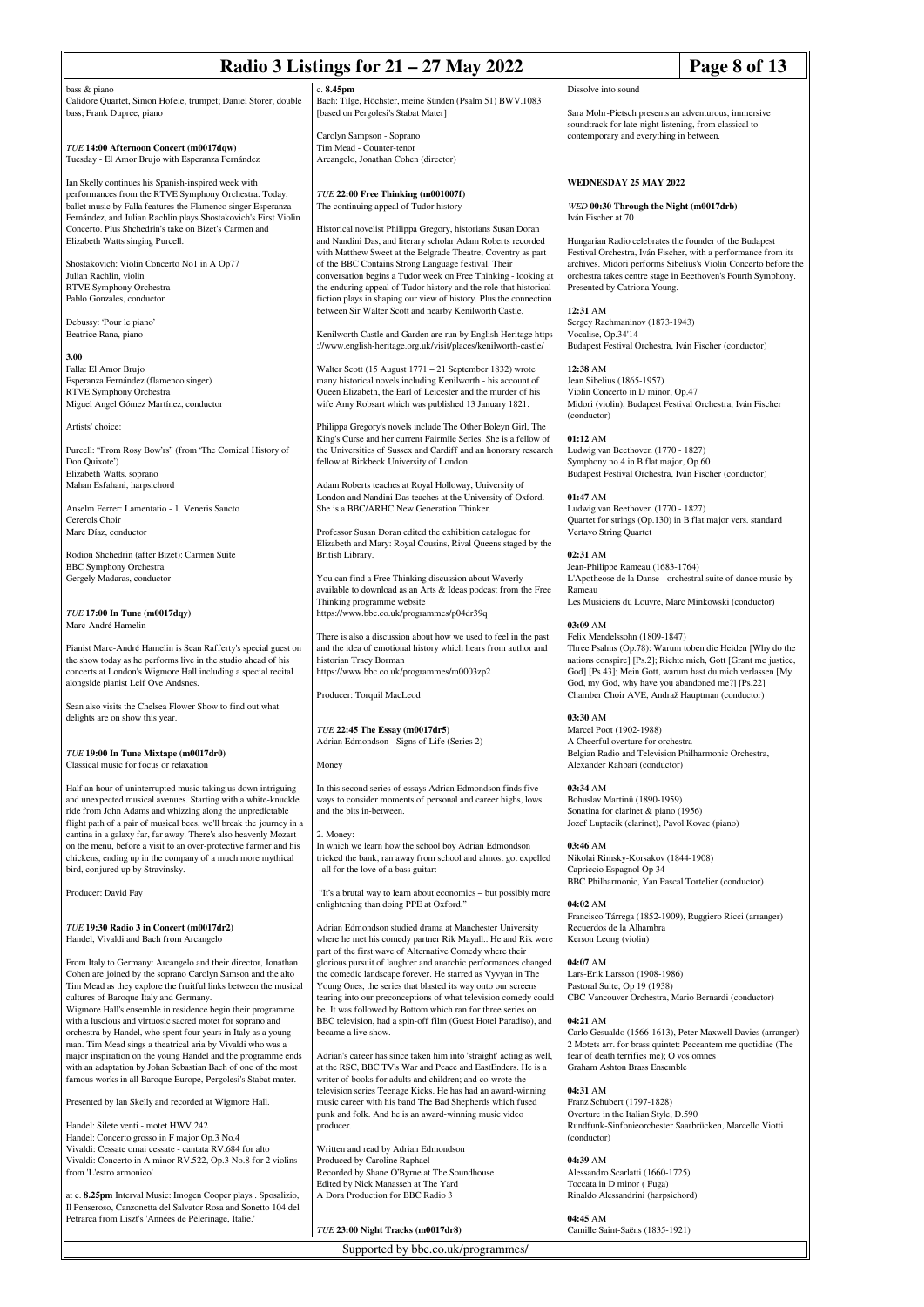| Radio 3 Listings for 21 - 27 May 2022<br>Page 8 of 13                                                                                  |                                                                                                                                        |                                                                                                                         |                                                                                                                                 |
|----------------------------------------------------------------------------------------------------------------------------------------|----------------------------------------------------------------------------------------------------------------------------------------|-------------------------------------------------------------------------------------------------------------------------|---------------------------------------------------------------------------------------------------------------------------------|
| bass & piano<br>Calidore Quartet, Simon Hofele, trumpet; Daniel Storer, double                                                         | c. 8.45pm<br>Bach: Tilge, Höchster, meine Sünden (Psalm 51) BWV.1083                                                                   | Dissolve into sound                                                                                                     |                                                                                                                                 |
| bass; Frank Dupree, piano                                                                                                              | [based on Pergolesi's Stabat Mater]                                                                                                    | Sara Mohr-Pietsch presents an adventurous, immersive                                                                    |                                                                                                                                 |
|                                                                                                                                        | Carolyn Sampson - Soprano                                                                                                              | soundtrack for late-night listening, from classical to<br>contemporary and everything in between.                       |                                                                                                                                 |
| TUE 14:00 Afternoon Concert (m0017dqw)<br>Tuesday - El Amor Brujo with Esperanza Fernández                                             | Tim Mead - Counter-tenor<br>Arcangelo, Jonathan Cohen (director)                                                                       |                                                                                                                         |                                                                                                                                 |
| Ian Skelly continues his Spanish-inspired week with                                                                                    |                                                                                                                                        | <b>WEDNESDAY 25 MAY 2022</b>                                                                                            |                                                                                                                                 |
| performances from the RTVE Symphony Orchestra. Today,<br>ballet music by Falla features the Flamenco singer Esperanza                  | TUE 22:00 Free Thinking (m001007f)<br>The continuing appeal of Tudor history                                                           | WED 00:30 Through the Night (m0017drb)                                                                                  |                                                                                                                                 |
| Fernández, and Julian Rachlin plays Shostakovich's First Violin<br>Concerto. Plus Shchedrin's take on Bizet's Carmen and               | Historical novelist Philippa Gregory, historians Susan Doran                                                                           | Iván Fischer at 70                                                                                                      |                                                                                                                                 |
| Elizabeth Watts singing Purcell.                                                                                                       | and Nandini Das, and literary scholar Adam Roberts recorded<br>with Matthew Sweet at the Belgrade Theatre, Coventry as part            | Hungarian Radio celebrates the founder of the Budapest<br>Festival Orchestra, Iván Fischer, with a performance from its |                                                                                                                                 |
| Shostakovich: Violin Concerto No1 in A Op77<br>Julian Rachlin, violin                                                                  | of the BBC Contains Strong Language festival. Their<br>conversation begins a Tudor week on Free Thinking - looking at                  |                                                                                                                         | archives. Midori performs Sibelius's Violin Concerto before the<br>orchestra takes centre stage in Beethoven's Fourth Symphony. |
| RTVE Symphony Orchestra<br>Pablo Gonzales, conductor                                                                                   | the enduring appeal of Tudor history and the role that historical<br>fiction plays in shaping our view of history. Plus the connection | Presented by Catriona Young.                                                                                            |                                                                                                                                 |
| Debussy: 'Pour le piano'                                                                                                               | between Sir Walter Scott and nearby Kenilworth Castle.                                                                                 | 12:31 AM<br>Sergey Rachmaninov (1873-1943)                                                                              |                                                                                                                                 |
| Beatrice Rana, piano                                                                                                                   | Kenilworth Castle and Garden are run by English Heritage https<br>://www.english-heritage.org.uk/visit/places/kenilworth-castle/       | Vocalise, Op.34'14<br>Budapest Festival Orchestra, Iván Fischer (conductor)                                             |                                                                                                                                 |
| 3.00<br>Falla: El Amor Brujo                                                                                                           | Walter Scott (15 August 1771 - 21 September 1832) wrote                                                                                | 12:38 AM                                                                                                                |                                                                                                                                 |
| Esperanza Fernández (flamenco singer)<br>RTVE Symphony Orchestra                                                                       | many historical novels including Kenilworth - his account of<br>Queen Elizabeth, the Earl of Leicester and the murder of his           | Jean Sibelius (1865-1957)<br>Violin Concerto in D minor, Op.47                                                          |                                                                                                                                 |
| Miguel Angel Gómez Martínez, conductor                                                                                                 | wife Amy Robsart which was published 13 January 1821.                                                                                  | Midori (violin), Budapest Festival Orchestra, Iván Fischer<br>(conductor)                                               |                                                                                                                                 |
| Artists' choice:                                                                                                                       | Philippa Gregory's novels include The Other Boleyn Girl, The<br>King's Curse and her current Fairmile Series. She is a fellow of       | 01:12 AM                                                                                                                |                                                                                                                                 |
| Purcell: "From Rosy Bow'rs" (from 'The Comical History of<br>Don Quixote')                                                             | the Universities of Sussex and Cardiff and an honorary research<br>fellow at Birkbeck University of London.                            | Ludwig van Beethoven (1770 - 1827)<br>Symphony no.4 in B flat major, Op.60                                              |                                                                                                                                 |
| Elizabeth Watts, soprano<br>Mahan Esfahani, harpsichord                                                                                | Adam Roberts teaches at Royal Holloway, University of                                                                                  | Budapest Festival Orchestra, Iván Fischer (conductor)                                                                   |                                                                                                                                 |
| Anselm Ferrer: Lamentatio - 1. Veneris Sancto                                                                                          | London and Nandini Das teaches at the University of Oxford.<br>She is a BBC/ARHC New Generation Thinker.                               | 01:47 AM<br>Ludwig van Beethoven (1770 - 1827)                                                                          |                                                                                                                                 |
| Cererols Choir<br>Marc Díaz, conductor                                                                                                 | Professor Susan Doran edited the exhibition catalogue for                                                                              | Quartet for strings (Op.130) in B flat major vers. standard<br>Vertavo String Quartet                                   |                                                                                                                                 |
| Rodion Shchedrin (after Bizet): Carmen Suite                                                                                           | Elizabeth and Mary: Royal Cousins, Rival Queens staged by the<br>British Library.                                                      | 02:31 AM                                                                                                                |                                                                                                                                 |
| <b>BBC Symphony Orchestra</b><br>Gergely Madaras, conductor                                                                            | You can find a Free Thinking discussion about Waverly                                                                                  | Jean-Philippe Rameau (1683-1764)                                                                                        | L'Apotheose de la Danse - orchestral suite of dance music by                                                                    |
|                                                                                                                                        | available to download as an Arts & Ideas podcast from the Free<br>Thinking programme website                                           | Rameau<br>Les Musiciens du Louvre, Marc Minkowski (conductor)                                                           |                                                                                                                                 |
| TUE 17:00 In Tune (m0017dqy)<br>Marc-André Hamelin                                                                                     | https://www.bbc.co.uk/programmes/p04dr39q                                                                                              | 03:09 AM                                                                                                                |                                                                                                                                 |
| Pianist Marc-André Hamelin is Sean Rafferty's special guest on                                                                         | There is also a discussion about how we used to feel in the past<br>and the idea of emotional history which hears from author and      | Felix Mendelssohn (1809-1847)                                                                                           | Three Psalms (Op.78): Warum toben die Heiden [Why do the                                                                        |
| the show today as he performs live in the studio ahead of his<br>concerts at London's Wigmore Hall including a special recital         | historian Tracy Borman<br>https://www.bbc.co.uk/programmes/m0003zp2                                                                    |                                                                                                                         | nations conspire] [Ps.2]; Richte mich, Gott [Grant me justice,<br>God] [Ps.43]; Mein Gott, warum hast du mich verlassen [My     |
| alongside pianist Leif Ove Andsnes.                                                                                                    | Producer: Torquil MacLeod                                                                                                              | God, my God, why have you abandoned me?] [Ps.22]<br>Chamber Choir AVE, Andraž Hauptman (conductor)                      |                                                                                                                                 |
| Sean also visits the Chelsea Flower Show to find out what<br>delights are on show this year.                                           |                                                                                                                                        | 03:30 AM                                                                                                                |                                                                                                                                 |
|                                                                                                                                        | TUE 22:45 The Essay (m0017dr5)<br>Adrian Edmondson - Signs of Life (Series 2)                                                          | Marcel Poot (1902-1988)<br>A Cheerful overture for orchestra                                                            |                                                                                                                                 |
| TUE 19:00 In Tune Mixtape (m0017dr0)<br>Classical music for focus or relaxation                                                        | Money                                                                                                                                  | Belgian Radio and Television Philharmonic Orchestra,<br>Alexander Rahbari (conductor)                                   |                                                                                                                                 |
| Half an hour of uninterrupted music taking us down intriguing                                                                          | In this second series of essays Adrian Edmondson finds five                                                                            | 03:34 AM                                                                                                                |                                                                                                                                 |
| and unexpected musical avenues. Starting with a white-knuckle<br>ride from John Adams and whizzing along the unpredictable             | ways to consider moments of personal and career highs, lows<br>and the bits in-between.                                                | Bohuslav Martinů (1890-1959)<br>Sonatina for clarinet & piano (1956)                                                    |                                                                                                                                 |
| flight path of a pair of musical bees, we'll break the journey in a<br>cantina in a galaxy far, far away. There's also heavenly Mozart | 2. Money:                                                                                                                              | Jozef Luptacik (clarinet), Pavol Kovac (piano)                                                                          |                                                                                                                                 |
| on the menu, before a visit to an over-protective farmer and his<br>chickens, ending up in the company of a much more mythical         | In which we learn how the school boy Adrian Edmondson<br>tricked the bank, ran away from school and almost got expelled                | 03:46 AM<br>Nikolai Rimsky-Korsakov (1844-1908)                                                                         |                                                                                                                                 |
| bird, conjured up by Stravinsky.                                                                                                       | - all for the love of a bass guitar:                                                                                                   | Capriccio Espagnol Op 34<br>BBC Philharmonic, Yan Pascal Tortelier (conductor)                                          |                                                                                                                                 |
| Producer: David Fay                                                                                                                    | "It's a brutal way to learn about economics - but possibly more<br>enlightening than doing PPE at Oxford."                             | 04:02 AM                                                                                                                |                                                                                                                                 |
| TUE 19:30 Radio 3 in Concert (m0017dr2)                                                                                                | Adrian Edmondson studied drama at Manchester University                                                                                | Francisco Tárrega (1852-1909), Ruggiero Ricci (arranger)<br>Recuerdos de la Alhambra                                    |                                                                                                                                 |
| Handel, Vivaldi and Bach from Arcangelo                                                                                                | where he met his comedy partner Rik Mayall He and Rik were<br>part of the first wave of Alternative Comedy where their                 | Kerson Leong (violin)                                                                                                   |                                                                                                                                 |
| From Italy to Germany: Arcangelo and their director, Jonathan<br>Cohen are joined by the soprano Carolyn Samson and the alto           | glorious pursuit of laughter and anarchic performances changed<br>the comedic landscape forever. He starred as Vyvyan in The           | 04:07 AM<br>Lars-Erik Larsson (1908-1986)                                                                               |                                                                                                                                 |
| Tim Mead as they explore the fruitful links between the musical<br>cultures of Baroque Italy and Germany.                              | Young Ones, the series that blasted its way onto our screens<br>tearing into our preconceptions of what television comedy could        | Pastoral Suite, Op 19 (1938)<br>CBC Vancouver Orchestra, Mario Bernardi (conductor)                                     |                                                                                                                                 |
| Wigmore Hall's ensemble in residence begin their programme<br>with a luscious and virtuosic sacred motet for soprano and               | be. It was followed by Bottom which ran for three series on<br>BBC television, had a spin-off film (Guest Hotel Paradiso), and         | 04:21 AM                                                                                                                |                                                                                                                                 |
| orchestra by Handel, who spent four years in Italy as a young<br>man. Tim Mead sings a theatrical aria by Vivaldi who was a            | became a live show.                                                                                                                    |                                                                                                                         | Carlo Gesualdo (1566-1613), Peter Maxwell Davies (arranger)<br>2 Motets arr. for brass quintet: Peccantem me quotidiae (The     |
| major inspiration on the young Handel and the programme ends<br>with an adaptation by Johan Sebastian Bach of one of the most          | Adrian's career has since taken him into 'straight' acting as well,<br>at the RSC, BBC TV's War and Peace and EastEnders. He is a      | fear of death terrifies me); O vos omnes<br>Graham Ashton Brass Ensemble                                                |                                                                                                                                 |
| famous works in all Baroque Europe, Pergolesi's Stabat mater.                                                                          | writer of books for adults and children; and co-wrote the<br>television series Teenage Kicks. He has had an award-winning              | 04:31 AM                                                                                                                |                                                                                                                                 |
| Presented by Ian Skelly and recorded at Wigmore Hall.                                                                                  | music career with his band The Bad Shepherds which fused<br>punk and folk. And he is an award-winning music video                      | Franz Schubert (1797-1828)<br>Overture in the Italian Style, D.590                                                      |                                                                                                                                 |
| Handel: Silete venti - motet HWV.242<br>Handel: Concerto grosso in F major Op.3 No.4                                                   | producer.                                                                                                                              | Rundfunk-Sinfonieorchester Saarbrücken, Marcello Viotti<br>(conductor)                                                  |                                                                                                                                 |
| Vivaldi: Cessate omai cessate - cantata RV.684 for alto<br>Vivaldi: Concerto in A minor RV.522, Op.3 No.8 for 2 violins                | Written and read by Adrian Edmondson<br>Produced by Caroline Raphael                                                                   | 04:39 AM                                                                                                                |                                                                                                                                 |
| from 'L'estro armonico'                                                                                                                | Recorded by Shane O'Byrne at The Soundhouse<br>Edited by Nick Manasseh at The Yard                                                     | Alessandro Scarlatti (1660-1725)<br>Toccata in D minor (Fuga)                                                           |                                                                                                                                 |
| at c. 8.25pm Interval Music: Imogen Cooper plays . Sposalizio,<br>Il Penseroso, Canzonetta del Salvator Rosa and Sonetto 104 del       | A Dora Production for BBC Radio 3                                                                                                      | Rinaldo Alessandrini (harpsichord)                                                                                      |                                                                                                                                 |
| Petrarca from Liszt's 'Années de Pèlerinage, Italie.'                                                                                  | TUE 23:00 Night Tracks (m0017dr8)                                                                                                      | 04:45 AM<br>Camille Saint-Saëns (1835-1921)                                                                             |                                                                                                                                 |
| Supported by bbc.co.uk/programmes/                                                                                                     |                                                                                                                                        |                                                                                                                         |                                                                                                                                 |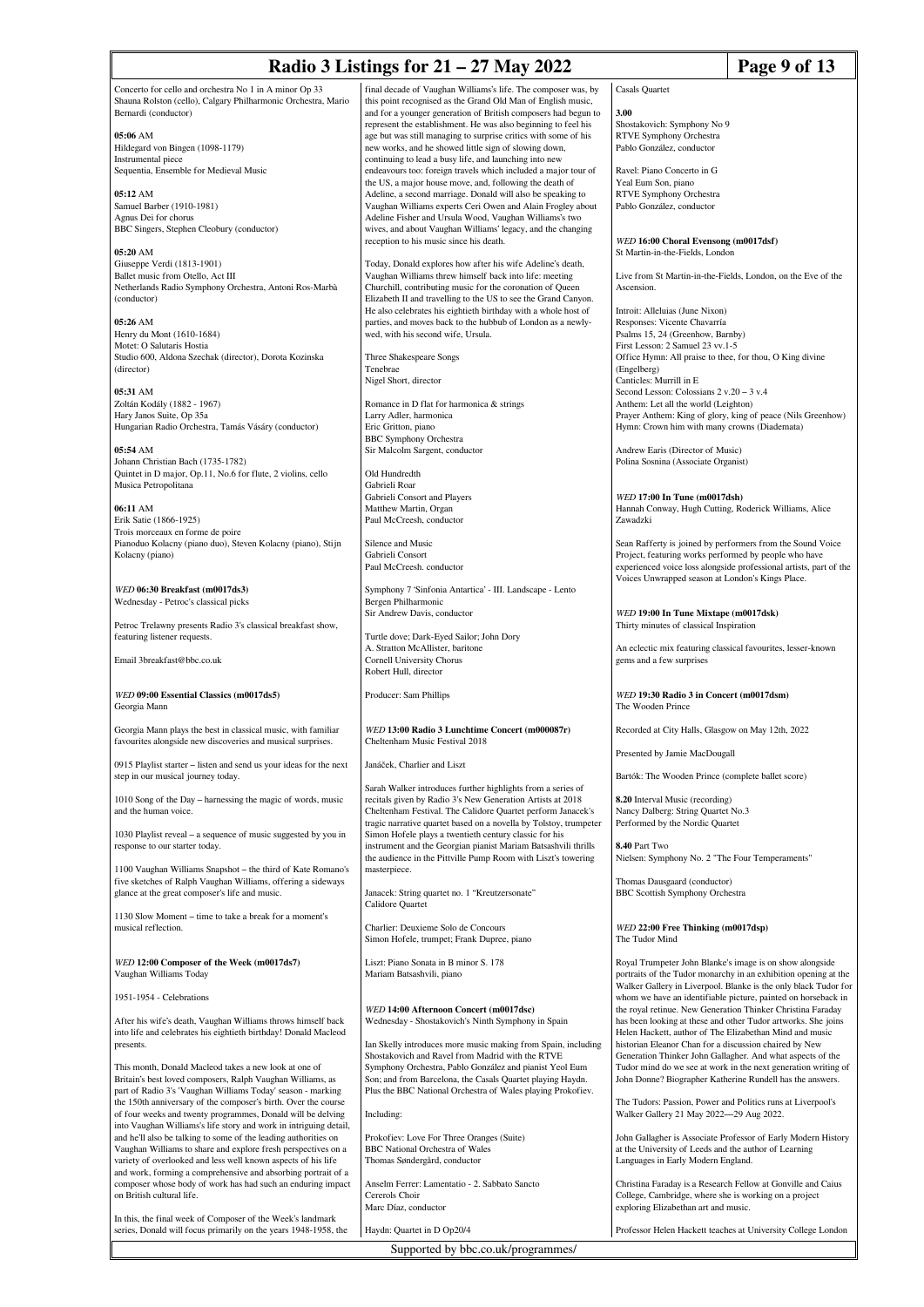# **Radio 3 Listings for 21 – 27 May 2022 Page 9 of 13**

Concerto for cello and orchestra No 1 in A minor Op 33 Shauna Rolston (cello), Calgary Philharmonic Orchestra, Mario Bernardi (conductor)

**05:06** AM Hildegard von Bingen (1098-1179) Instrumental piece Sequentia, Ensemble for Medieval Music

**05:12** AM Samuel Barber (1910-1981) Agnus Dei for chorus BBC Singers, Stephen Cleobury (conductor)

**05:20** AM Giuseppe Verdi (1813-1901) Ballet music from Otello, Act III Netherlands Radio Symphony Orchestra, Antoni Ros-Marbà (conductor)

**05:26** AM Henry du Mont (1610-1684) Motet: O Salutaris Hostia Studio 600, Aldona Szechak (director), Dorota Kozinska (director)

**05:31** AM Zoltán Kodály (1882 - 1967) Hary Janos Suite, Op 35a Hungarian Radio Orchestra, Tamás Vásáry (conductor)

**05:54** AM Johann Christian Bach (1735-1782) Quintet in D major, Op.11, No.6 for flute, 2 violins, cello Musica Petropolitana

**06:11** AM Erik Satie (1866-1925) Trois morceaux en forme de poire Pianoduo Kolacny (piano duo), Steven Kolacny (piano), Stijn Kolacny (piano)

*WED* **06:30 Breakfast (m0017ds3)** Wednesday - Petroc's classical picks

Petroc Trelawny presents Radio 3's classical breakfast show, featuring listener requests.

Email 3breakfast@bbc.co.uk

## *WED* **09:00 Essential Classics (m0017ds5)** Georgia Mann

Georgia Mann plays the best in classical music, with familiar favourites alongside new discoveries and musical surprises.

0915 Playlist starter – listen and send us your ideas for the next step in our musical journey today.

1010 Song of the Day – harnessing the magic of words, music and the human voice.

1030 Playlist reveal – a sequence of music suggested by you in response to our starter today.

1100 Vaughan Williams Snapshot – the third of Kate Romano's five sketches of Ralph Vaughan Williams, offering a sideways glance at the great composer's life and music.

1130 Slow Moment – time to take a break for a moment's musical reflection.

*WED* **12:00 Composer of the Week (m0017ds7)** Vaughan Williams Today

1951-1954 - Celebrations

After his wife's death, Vaughan Williams throws himself back into life and celebrates his eightieth birthday! Donald Macleod presents

This month, Donald Macleod takes a new look at one of Britain's best loved composers, Ralph Vaughan Williams, as part of Radio 3's 'Vaughan Williams Today' season - marking the 150th anniversary of the composer's birth. Over the course of four weeks and twenty programmes, Donald will be delving into Vaughan Williams's life story and work in intriguing detail, and he'll also be talking to some of the leading authorities on Vaughan Williams to share and explore fresh perspectives on a variety of overlooked and less well known aspects of his life and work, forming a comprehensive and absorbing portrait of a composer whose body of work has had such an enduring impact on British cultural life.

In this, the final week of Composer of the Week's landmark series, Donald will focus primarily on the years 1948-1958, the final decade of Vaughan Williams's life. The composer was, by this point recognised as the Grand Old Man of English music, and for a younger generation of British composers had begun to represent the establishment. He was also beginning to feel his age but was still managing to surprise critics with some of his new works, and he showed little sign of slowing down, continuing to lead a busy life, and launching into new endeavours too: foreign travels which included a major tour of the US, a major house move, and, following the death of Adeline, a second marriage. Donald will also be speaking to Vaughan Williams experts Ceri Owen and Alain Frogley about Adeline Fisher and Ursula Wood, Vaughan Williams's two wives, and about Vaughan Williams' legacy, and the changing reception to his music since his death.

Today, Donald explores how after his wife Adeline's death, Vaughan Williams threw himself back into life: meeting Churchill, contributing music for the coronation of Queen Elizabeth II and travelling to the US to see the Grand Canyon. He also celebrates his eightieth birthday with a whole host of parties, and moves back to the hubbub of London as a newly-.<br>wed, with his second wife, Ursula.

Three Shakespeare Songs Tenebrae Nigel Short, director

Romance in D flat for harmonica & strings Larry Adler, harmonica Eric Gritton, piano BBC Symphony Orchestra Sir Malcolm Sargent, conductor

Old Hundredth Gabrieli Roar Gabrieli Consort and Players Matthew Martin, Organ Paul McCreesh, conductor

Silence and Music Gabrieli Consort Paul McCreesh. conductor

Symphony 7 'Sinfonia Antartica' - III. Landscape - Lento Bergen Philharmonic Sir Andrew Davis, conductor

Turtle dove; Dark-Eyed Sailor; John Dory A. Stratton McAllister, baritone Cornell University Chorus Robert Hull, director

Producer: Sam Phillips

### *WED* **13:00 Radio 3 Lunchtime Concert (m000087r)** Cheltenham Music Festival 2018

Janáček, Charlier and Liszt

Sarah Walker introduces further highlights from a series of recitals given by Radio 3's New Generation Artists at 2018 Cheltenham Festival. The Calidore Quartet perform Janacek's tragic narrative quartet based on a novella by Tolstoy, trumpeter Simon Hofele plays a twentieth century classic for his instrument and the Georgian pianist Mariam Batsashvili thrills the audience in the Pittville Pump Room with Liszt's towering masterpiece.

Janacek: String quartet no. 1 "Kreutzersona Calidore Quarte

Charlier: Deuxieme Solo de Concours Simon Hofele, trumpet; Frank Dupree, piano

Liszt: Piano Sonata in B minor S. 178 Mariam Batsashvili, piano

*WED* **14:00 Afternoon Concert (m0017dsc)** Wednesday - Shostakovich's Ninth Symphony in Spain

Ian Skelly introduces more music making from Spain, including Shostakovich and Ravel from Madrid with the RTVE Symphony Orchestra, Pablo González and pianist Yeol Eum Son; and from Barcelona, the Casals Quartet playing Haydn. Plus the BBC National Orchestra of Wales playing Prokofiev.

Including:

Prokofiev: Love For Three Oranges (Suite) BBC National Orchestra of Wales Thomas Søndergård, conductor

Anselm Ferrer: Lamentatio - 2. Sabbato Sancto Cererols Choir Marc Díaz, conducto

Haydn: Quartet in D Op20/4

Supported by bbc.co.uk/programmes/

# Casals Quartet

**3.00**

Shostakovich: Symphony No 9 RTVE Symphony Orchestra Pablo González, conductor

Ravel: Piano Concerto in G Yeal Eum Son, piano RTVE Symphony Orchestra Pablo González, conductor

*WED* **16:00 Choral Evensong (m0017dsf)** St Martin-in-the-Fields, London

Live from St Martin-in-the-Fields, London, on the Eve of the Ascension.

Introit: Alleluias (June Nixon) Responses: Vicente Chavarría Psalms 15, 24 (Greenhow, Barnby) First Lesson: 2 Samuel 23 vv.1-5 Office Hymn: All praise to thee, for thou, O King divine (Engelberg) Canticles: Murrill in E Second Lesson: Colossians 2 v.20 – 3 v.4 Anthem: Let all the world (Leighton) Prayer Anthem: King of glory, king of peace (Nils Greenhow) Hymn: Crown him with many crowns (Diademata)

Andrew Earis (Director of Music) Polina Sosnina (Associate Organist)

*WED* **17:00 In Tune (m0017dsh)**

Hannah Conway, Hugh Cutting, Roderick Williams, Alice Zawadzki

Sean Rafferty is joined by performers from the Sound Voice Project, featuring works performed by people who have experienced voice loss alongside professional artists, part of the Voices Unwrapped season at London's Kings Place.

*WED* **19:00 In Tune Mixtape (m0017dsk)** Thirty minutes of classical Inspiration

An eclectic mix featuring classical favourites, lesser-known gems and a few surprises

*WED* **19:30 Radio 3 in Concert (m0017dsm)** The Wooden Prince

Recorded at City Halls, Glasgow on May 12th, 2022

Presented by Jamie MacDougall

Bartók: The Wooden Prince (complete ballet score)

**8.20** Interval Music (recording) Nancy Dalberg: String Quartet No.3 Performed by the Nordic Quartet

**8.40** Part Two Nielsen: Symphony No. 2 "The Four Temperaments"

Thomas Dausgaard (conductor) BBC Scottish Symphony Orchestra

*WED* **22:00 Free Thinking (m0017dsp)** The Tudor Mind

Royal Trumpeter John Blanke's image is on show alongside portraits of the Tudor monarchy in an exhibition opening at the Walker Gallery in Liverpool. Blanke is the only black Tudor for where Sancry in European England Comparent and the whom we have an identifiable picture, painted on horseback in the royal retinue. New Generation Thinker Christina Faraday has been looking at these and other Tudor artworks. She joins Helen Hackett, author of The Elizabethan Mind and music historian Eleanor Chan for a discussion chaired by New Generation Thinker John Gallagher. And what aspects of the Tudor mind do we see at work in the next generation writing of John Donne? Biographer Katherine Rundell has the answers

The Tudors: Passion, Power and Politics runs at Liverpool's Walker Gallery 21 May 2022—29 Aug 2022.

John Gallagher is Associate Professor of Early Modern History at the University of Leeds and the author of Learning Languages in Early Modern England.

Christina Faraday is a Research Fellow at Gonville and Caius College, Cambridge, where she is working on a project exploring Elizabethan art and music.

Professor Helen Hackett teaches at University College London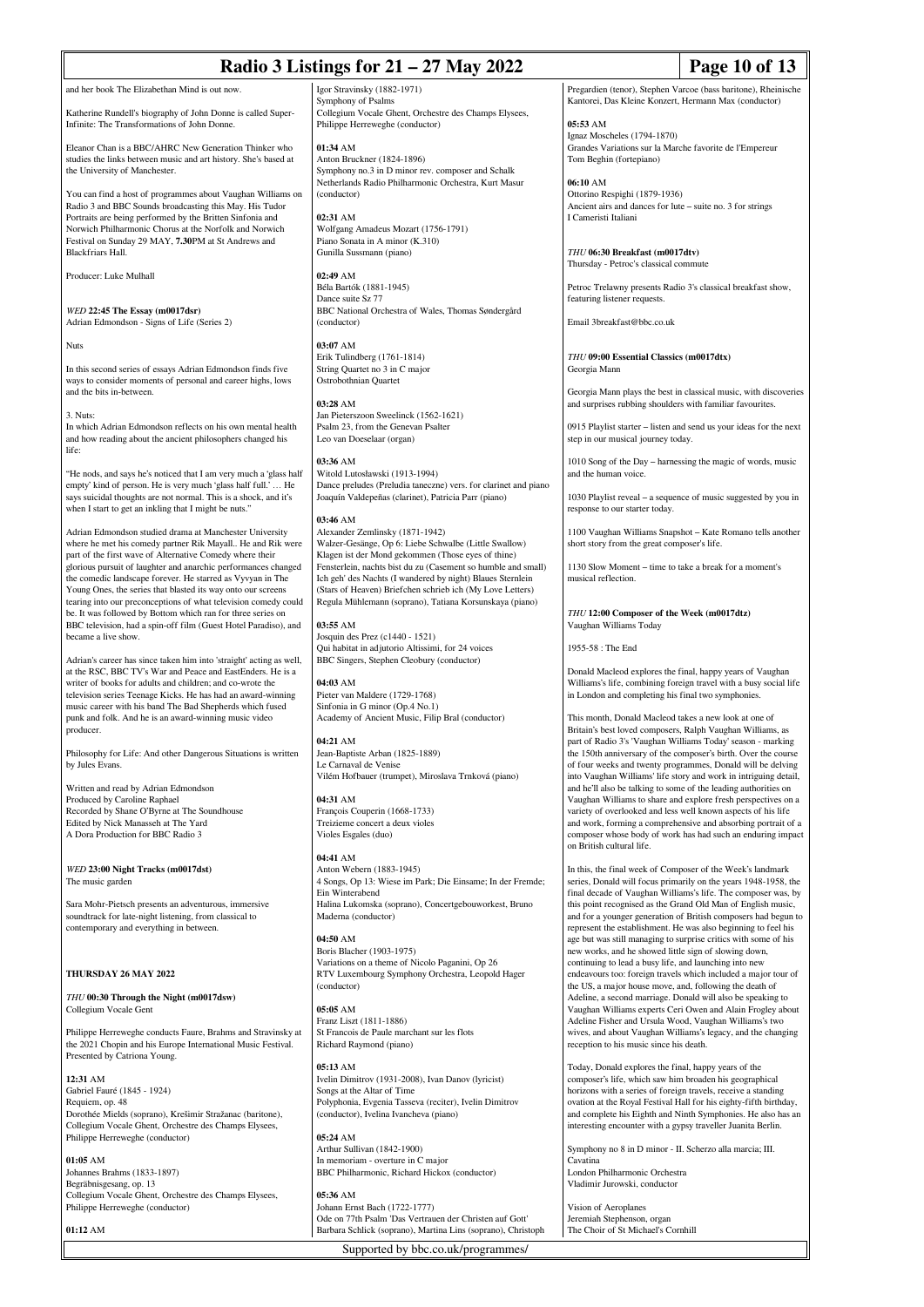# **Radio 3 Listings for 21 – 27 May 2022 Page 10 of 13**

and her book The Elizabethan Mind is out now.

Katherine Rundell's biography of John Donne is called Super-Infinite: The Transformations of John Donne.

nor Chan is a BBC/AHRC New Generation Thinker who studies the links between music and art history. She's based at the University of Manchester.

You can find a host of programmes about Vaughan Williams on Radio 3 and BBC Sounds broadcasting this May. His Tudor Portraits are being performed by the Britten Sinfonia and Norwich Philharmonic Chorus at the Norfolk and Norwich Festival on Sunday 29 MAY, **7.30**PM at St Andrews and Blackfriars Hall.

Producer: Luke Mulhall

*WED* **22:45 The Essay (m0017dsr)** Adrian Edmondson - Signs of Life (Series 2)

Nuts

In this second series of essays Adrian Edmondson finds five ways to consider moments of personal and career highs, lows and the bits in-between.

3. Nuts:

In which Adrian Edmondson reflects on his own mental health and how reading about the ancient philosophers changed his life:

"He nods, and says he's noticed that I am very much a 'glass half empty' kind of person. He is very much 'glass half full.' … He says suicidal thoughts are not normal. This is a shock, and it's when I start to get an inkling that I might be nuts."

Adrian Edmondson studied drama at Manchester University where he met his comedy partner Rik Mayall.. He and Rik were part of the first wave of Alternative Comedy where their glorious pursuit of laughter and anarchic performances changed the comedic landscape forever. He starred as Vyvyan in The Young Ones, the series that blasted its way onto our screen tearing into our preconceptions of what television comedy could be. It was followed by Bottom which ran for three series on BBC television, had a spin-off film (Guest Hotel Paradiso), and became a live show.

Adrian's career has since taken him into 'straight' acting as well, at the RSC, BBC TV's War and Peace and EastEnders. He is a writer of books for adults and children; and co-wrote the television series Teenage Kicks. He has had an award-winning music career with his band The Bad Shepherds which fused punk and folk. And he is an award-winning music video producer.

Philosophy for Life: And other Dangerous Situations is written by Jules Evans.

Written and read by Adrian Edmondson Produced by Caroline Raphael Recorded by Shane O'Byrne at The Soundhouse Edited by Nick Manasseh at The Yard A Dora Production for BBC Radio 3

*WED* **23:00 Night Tracks (m0017dst)** The music garden

Sara Mohr-Pietsch presents an adventurous, immersive soundtrack for late-night listening, from classical to contemporary and everything in between.

**THURSDAY 26 MAY 2022**

**01:12** AM

*THU* **00:30 Through the Night (m0017dsw)** Collegium Vocale Gent

Philippe Herreweghe conducts Faure, Brahms and Stravinsky at the 2021 Chopin and his Europe International Music Festival. Presented by Catriona Young.

**12:31** AM Gabriel Fauré (1845 - 1924) Requiem, op. 48 Dorothée Mields (soprano), Krešimir Stražanac (baritone), Collegium Vocale Ghent, Orchestre des Champs Elysees, Philippe Herreweghe (conductor)

**01:05** AM Johannes Brahms (1833-1897) Begräbnisgesang, op. 13 Collegium Vocale Ghent, Orchestre des Champs Elysees, Philippe Herreweghe (conductor)

Igor Stravinsky (1882-1971) Symphony of Psalms Collegium Vocale Ghent, Orchestre des Champs Elysees, Philippe Herreweghe (conductor)

**01:34** AM Anton Bruckner (1824-1896) Symphony no.3 in D minor rev. composer and Schalk Netherlands Radio Philharmonic Orchestra, Kurt Masur (conductor)

**02:31** AM Wolfgang Amadeus Mozart (1756-1791) Piano Sonata in A minor (K.310) Gunilla Sussmann (piano)

**02:49** AM Béla Bartók (1881-1945) Dance suite Sz 77 BBC National Orchestra of Wales, Thomas Søndergård (conductor)

**03:07** AM Erik Tulindberg (1761-1814) String Quartet no 3 in C major Ostrobothnian Quartet

**03:28** AM Jan Pieterszoon Sweelinck (1562-1621) Psalm 23, from the Genevan Psalter Leo van Doeselaar (organ)

**03:36** AM Witold Lutosławski (1913-1994) Dance preludes (Preludia taneczne) vers. for clarinet and piano Joaquín Valdepeñas (clarinet), Patricia Parr (piano)

**03:46** AM

Alexander Zemlinsky (1871-1942) Walzer-Gesänge, Op 6: Liebe Schwalbe (Little Swallow) Klagen ist der Mond gekommen (Those eyes of thine) Fensterlein, nachts bist du zu (Casement so humble and small) Ich geh' des Nachts (I wandered by night) Blaues Sternlein (Stars of Heaven) Briefchen schrieb ich (My Love Letters) Regula Mühlemann (soprano), Tatiana Korsunskaya (piano)

**03:55** AM Josquin des Prez (c1440 - 1521) Qui habitat in adjutorio Altissimi, for 24 voices BBC Singers, Stephen Cleobury (conductor)

**04:03** AM Pieter van Maldere (1729-1768) Sinfonia in G minor (Op.4 No.1) Academy of Ancient Music, Filip Bral (conductor)

**04:21** AM Jean-Baptiste Arban (1825-1889) Le Carnaval de Venise Vilém Hofbauer (trumpet), Miroslava Trnková (piano)

**04:31** AM François Couperin (1668-1733) Treizieme concert a deux violes Violes Esgales (duo)

**04:41** AM Anton Webern (1883-1945) 4 Songs, Op 13: Wiese im Park; Die Einsame; In der Fremde; Ein Winterabend Halina Lukomska (soprano), Concertgebouworkest, Bruno Maderna (conductor)

**04:50** AM Boris Blacher (1903-1975) Variations on a theme of Nicolo Paganini, Op 26 RTV Luxembourg Symphony Orchestra, Leopold Hager (conductor)

**05:05** AM Franz Liszt (1811-1886) St Francois de Paule marchant sur les flots Richard Raymond (piano)

**05:13** AM Ivelin Dimitrov (1931-2008), Ivan Danov (lyricist) Songs at the Altar of Time Polyphonia, Evgenia Tasseva (reciter), Ivelin Dimitrov (conductor), Ivelina Ivancheva (piano)

**05:24** AM Arthur Sullivan (1842-1900) In memoriam - overture in C major BBC Philharmonic, Richard Hickox (conductor)

**05:36** AM Johann Ernst Bach (1722-1777) Ode on 77th Psalm 'Das Vertrauen der Christen auf Gott' Barbara Schlick (soprano), Martina Lins (soprano), Christoph

Supported by bbc.co.uk/programmes/

Pregardien (tenor), Stephen Varcoe (bass baritone), Rheinische Kantorei, Das Kleine Konzert, Hermann Max (conductor)

**05:53** AM Ignaz Moscheles (1794-1870) Grandes Variations sur la Marche favorite de l'Empereur Tom Beghin (fortepiano)

**06:10** AM Ottorino Respighi (1879-1936) Ancient airs and dances for lute – suite no. 3 for strings I Cameristi Italiani

*THU* **06:30 Breakfast (m0017dtv)** Thursday - Petroc's classical commute

Petroc Trelawny presents Radio 3's classical breakfast show, featuring listener requests.

Email 3breakfast@bbc.co.uk

*THU* **09:00 Essential Classics (m0017dtx)** Georgia Mann

Georgia Mann plays the best in classical music, with discoveries and surprises rubbing shoulders with familiar favourites.

0915 Playlist starter – listen and send us your ideas for the next step in our musical journey today.

1010 Song of the Day – harnessing the magic of words, music and the human voice

1030 Playlist reveal – a sequence of music suggested by you in response to our starter today.

1100 Vaughan Williams Snapshot – Kate Romano tells another short story from the great composer's life.

1130 Slow Moment – time to take a break for a moment's musical reflection.

*THU* **12:00 Composer of the Week (m0017dtz)** Vaughan Williams Today

1955-58 : The End

Donald Macleod explores the final, happy years of Vaughan Williams's life, combining foreign travel with a busy social life in London and completing his final two symphonies.

This month, Donald Macleod takes a new look at one of Britain's best loved composers, Ralph Vaughan Williams, as part of Radio 3's 'Vaughan Williams Today' season - marking the 150th anniversary of the composer's birth. Over the course of four weeks and twenty programmes, Donald will be delving into Vaughan Williams' life story and work in intriguing detail, and he'll also be talking to some of the leading authorities on Vaughan Williams to share and explore fresh perspectives on a variety of overlooked and less well known aspects of his life and work, forming a comprehensive and absorbing portrait of a composer whose body of work has had such an enduring impact on British cultural life.

In this, the final week of Composer of the Week's landmark series, Donald will focus primarily on the years 1948-1958, the final decade of Vaughan Williams's life. The composer was, by this point recognised as the Grand Old Man of English music, and for a younger generation of British composers had begun to represent the establishment. He was also beginning to feel his age but was still managing to surprise critics with some of his new works, and he showed little sign of slowing down, continuing to lead a busy life, and launching into new endeavours too: foreign travels which included a major tour of the US, a major house move, and, following the death of Adeline, a second marriage. Donald will also be speaking to Vaughan Williams experts Ceri Owen and Alain Frogley about Adeline Fisher and Ursula Wood, Vaughan Williams's two wives, and about Vaughan Williams's legacy, and the changing reception to his music since his death.

Today, Donald explores the final, happy years of the composer's life, which saw him broaden his geographical horizons with a series of foreign travels, receive a standing ovation at the Royal Festival Hall for his eighty-fifth birthday, and complete his Eighth and Ninth Symphonies. He also has an interesting encounter with a gypsy traveller Juanita Berlin.

Symphony no 8 in D minor - II. Scherzo alla marcia; III. Cavatina London Philharmonic Orchestra Vladimir Jurowski, conductor

Vision of Aeroplanes Jeremiah Stephenson, organ The Choir of St Michael's Cornhill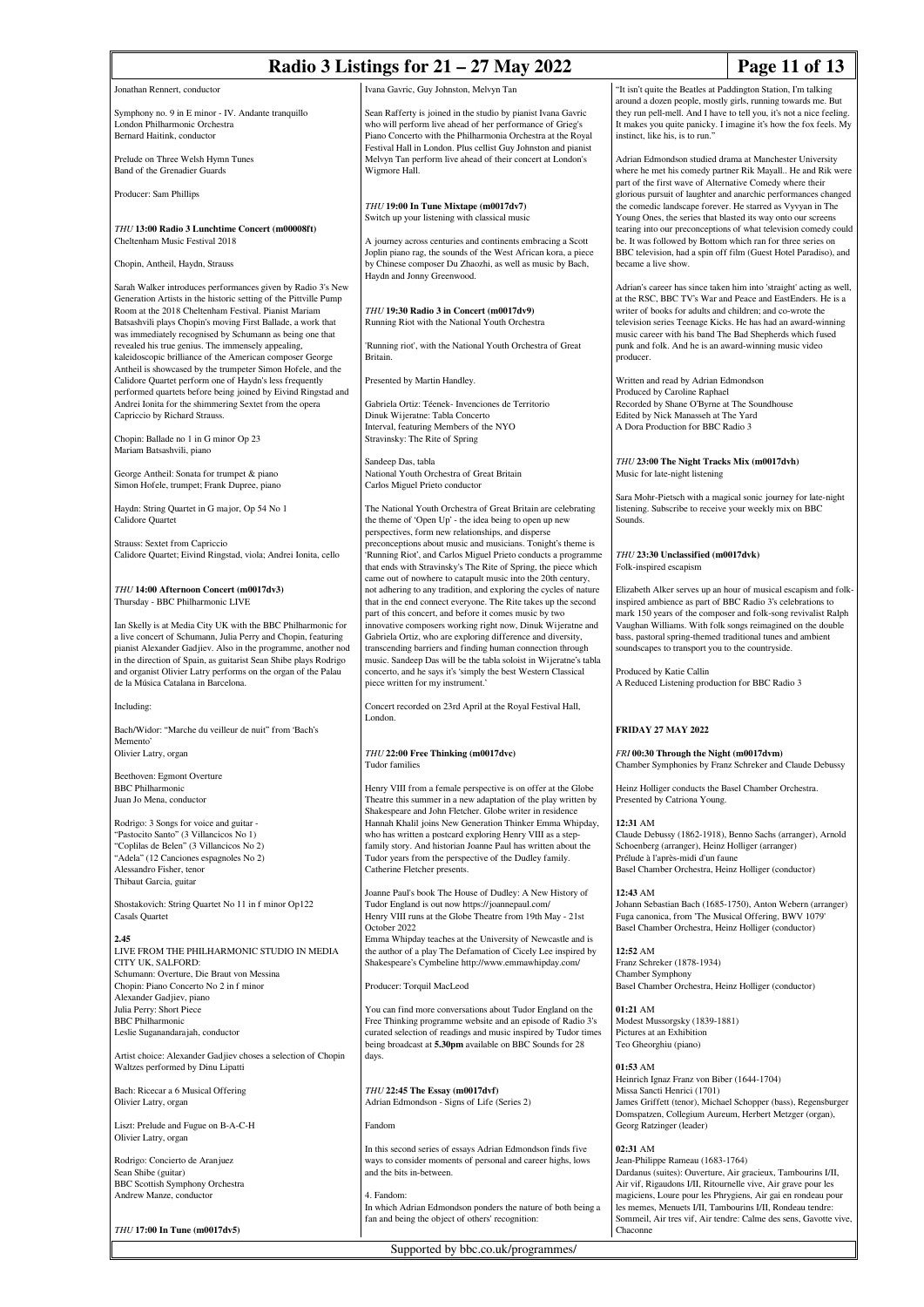| Radio 3 Listings for $21 - 27$ May 2022                                                                                                                                                                                                                                                                                                                                                                                                                                                              |                                                                                                                                                                                                                                                                                                                                                                     |                                                                                                                                                                                                                                                                                                                                                                                                  | Page 11 of 13                                                                                                                    |
|------------------------------------------------------------------------------------------------------------------------------------------------------------------------------------------------------------------------------------------------------------------------------------------------------------------------------------------------------------------------------------------------------------------------------------------------------------------------------------------------------|---------------------------------------------------------------------------------------------------------------------------------------------------------------------------------------------------------------------------------------------------------------------------------------------------------------------------------------------------------------------|--------------------------------------------------------------------------------------------------------------------------------------------------------------------------------------------------------------------------------------------------------------------------------------------------------------------------------------------------------------------------------------------------|----------------------------------------------------------------------------------------------------------------------------------|
| Jonathan Rennert, conductor                                                                                                                                                                                                                                                                                                                                                                                                                                                                          | Ivana Gavric, Guy Johnston, Melvyn Tan                                                                                                                                                                                                                                                                                                                              | "It isn't quite the Beatles at Paddington Station, I'm talking                                                                                                                                                                                                                                                                                                                                   |                                                                                                                                  |
| Symphony no. 9 in E minor - IV. Andante tranquillo<br>London Philharmonic Orchestra<br>Bernard Haitink, conductor                                                                                                                                                                                                                                                                                                                                                                                    | Sean Rafferty is joined in the studio by pianist Ivana Gavric<br>who will perform live ahead of her performance of Grieg's<br>Piano Concerto with the Philharmonia Orchestra at the Royal                                                                                                                                                                           | around a dozen people, mostly girls, running towards me. But<br>they run pell-mell. And I have to tell you, it's not a nice feeling.<br>It makes you quite panicky. I imagine it's how the fox feels. My<br>instinct, like his, is to run."                                                                                                                                                      |                                                                                                                                  |
| Prelude on Three Welsh Hymn Tunes<br>Band of the Grenadier Guards                                                                                                                                                                                                                                                                                                                                                                                                                                    | Festival Hall in London. Plus cellist Guy Johnston and pianist<br>Melvyn Tan perform live ahead of their concert at London's<br>Wigmore Hall.                                                                                                                                                                                                                       | part of the first wave of Alternative Comedy where their                                                                                                                                                                                                                                                                                                                                         | Adrian Edmondson studied drama at Manchester University<br>where he met his comedy partner Rik Mayall He and Rik were            |
| Producer: Sam Phillips                                                                                                                                                                                                                                                                                                                                                                                                                                                                               | THU 19:00 In Tune Mixtape (m0017dv7)                                                                                                                                                                                                                                                                                                                                |                                                                                                                                                                                                                                                                                                                                                                                                  | glorious pursuit of laughter and anarchic performances changed<br>the comedic landscape forever. He starred as Vyvyan in The     |
| THU 13:00 Radio 3 Lunchtime Concert (m00008ft)<br>Cheltenham Music Festival 2018                                                                                                                                                                                                                                                                                                                                                                                                                     | Switch up your listening with classical music<br>A journey across centuries and continents embracing a Scott<br>Joplin piano rag, the sounds of the West African kora, a piece                                                                                                                                                                                      | Young Ones, the series that blasted its way onto our screens<br>tearing into our preconceptions of what television comedy could<br>be. It was followed by Bottom which ran for three series on<br>BBC television, had a spin off film (Guest Hotel Paradiso), and                                                                                                                                |                                                                                                                                  |
| Chopin, Antheil, Haydn, Strauss                                                                                                                                                                                                                                                                                                                                                                                                                                                                      | by Chinese composer Du Zhaozhi, as well as music by Bach,<br>Haydn and Jonny Greenwood.                                                                                                                                                                                                                                                                             | became a live show.                                                                                                                                                                                                                                                                                                                                                                              |                                                                                                                                  |
| Sarah Walker introduces performances given by Radio 3's New<br>Generation Artists in the historic setting of the Pittville Pump<br>Room at the 2018 Cheltenham Festival. Pianist Mariam<br>Batsashvili plays Chopin's moving First Ballade, a work that<br>was immediately recognised by Schumann as being one that<br>revealed his true genius. The immensely appealing,<br>kaleidoscopic brilliance of the American composer George<br>Antheil is showcased by the trumpeter Simon Hofele, and the | THU 19:30 Radio 3 in Concert (m0017dv9)<br>Running Riot with the National Youth Orchestra<br>'Running riot', with the National Youth Orchestra of Great<br>Britain.                                                                                                                                                                                                 | Adrian's career has since taken him into 'straight' acting as well,<br>at the RSC, BBC TV's War and Peace and EastEnders. He is a<br>writer of books for adults and children; and co-wrote the<br>television series Teenage Kicks. He has had an award-winning<br>music career with his band The Bad Shepherds which fused<br>punk and folk. And he is an award-winning music video<br>producer. |                                                                                                                                  |
| Calidore Quartet perform one of Haydn's less frequently<br>performed quartets before being joined by Eivind Ringstad and<br>Andrei Ionita for the shimmering Sextet from the opera<br>Capriccio by Richard Strauss.<br>Chopin: Ballade no 1 in G minor Op 23                                                                                                                                                                                                                                         | Presented by Martin Handley.<br>Gabriela Ortiz: Téenek- Invenciones de Territorio<br>Dinuk Wijeratne: Tabla Concerto<br>Interval, featuring Members of the NYO<br>Stravinsky: The Rite of Spring                                                                                                                                                                    | Written and read by Adrian Edmondson<br>Produced by Caroline Raphael<br>Recorded by Shane O'Byrne at The Soundhouse<br>Edited by Nick Manasseh at The Yard<br>A Dora Production for BBC Radio 3                                                                                                                                                                                                  |                                                                                                                                  |
| Mariam Batsashvili, piano<br>George Antheil: Sonata for trumpet & piano                                                                                                                                                                                                                                                                                                                                                                                                                              | Sandeep Das, tabla<br>National Youth Orchestra of Great Britain                                                                                                                                                                                                                                                                                                     | THU 23:00 The Night Tracks Mix (m0017dvh)<br>Music for late-night listening                                                                                                                                                                                                                                                                                                                      |                                                                                                                                  |
| Simon Hofele, trumpet; Frank Dupree, piano<br>Haydn: String Quartet in G major, Op 54 No 1<br>Calidore Quartet                                                                                                                                                                                                                                                                                                                                                                                       | Carlos Miguel Prieto conductor<br>The National Youth Orchestra of Great Britain are celebrating<br>the theme of 'Open Up' - the idea being to open up new                                                                                                                                                                                                           | listening. Subscribe to receive your weekly mix on BBC<br>Sounds.                                                                                                                                                                                                                                                                                                                                | Sara Mohr-Pietsch with a magical sonic journey for late-night                                                                    |
| Strauss: Sextet from Capriccio<br>Calidore Quartet; Eivind Ringstad, viola; Andrei Ionita, cello                                                                                                                                                                                                                                                                                                                                                                                                     | perspectives, form new relationships, and disperse<br>preconceptions about music and musicians. Tonight's theme is<br>'Running Riot', and Carlos Miguel Prieto conducts a programme<br>that ends with Stravinsky's The Rite of Spring, the piece which                                                                                                              | THU 23:30 Unclassified (m0017dvk)<br>Folk-inspired escapism                                                                                                                                                                                                                                                                                                                                      |                                                                                                                                  |
| THU 14:00 Afternoon Concert (m0017dv3)<br>Thursday - BBC Philharmonic LIVE                                                                                                                                                                                                                                                                                                                                                                                                                           | came out of nowhere to catapult music into the 20th century,<br>not adhering to any tradition, and exploring the cycles of nature<br>that in the end connect everyone. The Rite takes up the second<br>part of this concert, and before it comes music by two                                                                                                       | inspired ambience as part of BBC Radio 3's celebrations to                                                                                                                                                                                                                                                                                                                                       | Elizabeth Alker serves up an hour of musical escapism and folk-<br>mark 150 years of the composer and folk-song revivalist Ralph |
| Ian Skelly is at Media City UK with the BBC Philharmonic for<br>a live concert of Schumann, Julia Perry and Chopin, featuring<br>pianist Alexander Gadjiev. Also in the programme, another nod<br>in the direction of Spain, as guitarist Sean Shibe plays Rodrigo<br>and organist Olivier Latry performs on the organ of the Palau<br>de la Música Catalana in Barcelona.                                                                                                                           | innovative composers working right now, Dinuk Wijeratne and<br>Gabriela Ortiz, who are exploring difference and diversity,<br>transcending barriers and finding human connection through<br>music. Sandeep Das will be the tabla soloist in Wijeratne's tabla<br>concerto, and he says it's 'simply the best Western Classical<br>piece written for my instrument.' | bass, pastoral spring-themed traditional tunes and ambient<br>soundscapes to transport you to the countryside.<br>Produced by Katie Callin<br>A Reduced Listening production for BBC Radio 3                                                                                                                                                                                                     | Vaughan Williams. With folk songs reimagined on the double                                                                       |
| Including:                                                                                                                                                                                                                                                                                                                                                                                                                                                                                           | Concert recorded on 23rd April at the Royal Festival Hall,<br>London.                                                                                                                                                                                                                                                                                               |                                                                                                                                                                                                                                                                                                                                                                                                  |                                                                                                                                  |
| Bach/Widor: "Marche du veilleur de nuit" from 'Bach's<br>Memento'<br>Olivier Latry, organ                                                                                                                                                                                                                                                                                                                                                                                                            | THU 22:00 Free Thinking (m0017dvc)                                                                                                                                                                                                                                                                                                                                  | <b>FRIDAY 27 MAY 2022</b><br>FRI 00:30 Through the Night (m0017dvm)                                                                                                                                                                                                                                                                                                                              |                                                                                                                                  |
| Beethoven: Egmont Overture<br><b>BBC</b> Philharmonic<br>Juan Jo Mena, conductor                                                                                                                                                                                                                                                                                                                                                                                                                     | <b>Tudor</b> families<br>Henry VIII from a female perspective is on offer at the Globe<br>Theatre this summer in a new adaptation of the play written by                                                                                                                                                                                                            | Heinz Holliger conducts the Basel Chamber Orchestra.<br>Presented by Catriona Young.                                                                                                                                                                                                                                                                                                             | Chamber Symphonies by Franz Schreker and Claude Debussy                                                                          |
| Rodrigo: 3 Songs for voice and guitar -<br>"Pastocito Santo" (3 Villancicos No 1)<br>"Coplilas de Belen" (3 Villancicos No 2)<br>"Adela" (12 Canciones espagnoles No 2)<br>Alessandro Fisher, tenor                                                                                                                                                                                                                                                                                                  | Shakespeare and John Fletcher. Globe writer in residence<br>Hannah Khalil joins New Generation Thinker Emma Whipday,<br>who has written a postcard exploring Henry VIII as a step-<br>family story. And historian Joanne Paul has written about the<br>Tudor years from the perspective of the Dudley family.<br>Catherine Fletcher presents.                       | 12:31 AM<br>Schoenberg (arranger), Heinz Holliger (arranger)<br>Prélude à l'après-midi d'un faune<br>Basel Chamber Orchestra, Heinz Holliger (conductor)                                                                                                                                                                                                                                         | Claude Debussy (1862-1918), Benno Sachs (arranger), Arnold                                                                       |
| Thibaut Garcia, guitar<br>Shostakovich: String Quartet No 11 in f minor Op122<br><b>Casals Quartet</b>                                                                                                                                                                                                                                                                                                                                                                                               | Joanne Paul's book The House of Dudley: A New History of<br>Tudor England is out now https://joannepaul.com/<br>Henry VIII runs at the Globe Theatre from 19th May - 21st<br>October 2022                                                                                                                                                                           | 12:43 AM<br>Fuga canonica, from 'The Musical Offering, BWV 1079'<br>Basel Chamber Orchestra, Heinz Holliger (conductor)                                                                                                                                                                                                                                                                          | Johann Sebastian Bach (1685-1750), Anton Webern (arranger)                                                                       |
| 2.45<br>LIVE FROM THE PHILHARMONIC STUDIO IN MEDIA<br>CITY UK, SALFORD:<br>Schumann: Overture, Die Braut von Messina<br>Chopin: Piano Concerto No 2 in f minor                                                                                                                                                                                                                                                                                                                                       | Emma Whipday teaches at the University of Newcastle and is<br>the author of a play The Defamation of Cicely Lee inspired by<br>Shakespeare's Cymbeline http://www.emmawhipday.com/<br>Producer: Torquil MacLeod                                                                                                                                                     | 12:52 AM<br>Franz Schreker (1878-1934)<br>Chamber Symphony<br>Basel Chamber Orchestra, Heinz Holliger (conductor)                                                                                                                                                                                                                                                                                |                                                                                                                                  |
| Alexander Gadjiev, piano<br>Julia Perry: Short Piece<br><b>BBC</b> Philharmonic<br>Leslie Suganandarajah, conductor                                                                                                                                                                                                                                                                                                                                                                                  | You can find more conversations about Tudor England on the<br>Free Thinking programme website and an episode of Radio 3's<br>curated selection of readings and music inspired by Tudor times                                                                                                                                                                        | 01:21 AM<br>Modest Mussorgsky (1839-1881)<br>Pictures at an Exhibition                                                                                                                                                                                                                                                                                                                           |                                                                                                                                  |
| Artist choice: Alexander Gadjiev choses a selection of Chopin<br>Waltzes performed by Dinu Lipatti                                                                                                                                                                                                                                                                                                                                                                                                   | being broadcast at 5.30pm available on BBC Sounds for 28<br>days.                                                                                                                                                                                                                                                                                                   | Teo Gheorghiu (piano)<br>01:53 AM                                                                                                                                                                                                                                                                                                                                                                |                                                                                                                                  |
| Bach: Ricecar a 6 Musical Offering<br>Olivier Latry, organ                                                                                                                                                                                                                                                                                                                                                                                                                                           | THU 22:45 The Essay (m0017dvf)<br>Adrian Edmondson - Signs of Life (Series 2)                                                                                                                                                                                                                                                                                       | Heinrich Ignaz Franz von Biber (1644-1704)<br>Missa Sancti Henrici (1701)<br>Domspatzen, Collegium Aureum, Herbert Metzger (organ),                                                                                                                                                                                                                                                              | James Griffett (tenor), Michael Schopper (bass), Regensburger                                                                    |
| Liszt: Prelude and Fugue on B-A-C-H<br>Olivier Latry, organ                                                                                                                                                                                                                                                                                                                                                                                                                                          | Fandom                                                                                                                                                                                                                                                                                                                                                              | Georg Ratzinger (leader)                                                                                                                                                                                                                                                                                                                                                                         |                                                                                                                                  |
| Rodrigo: Concierto de Aranjuez<br>Sean Shibe (guitar)<br><b>BBC Scottish Symphony Orchestra</b><br>Andrew Manze, conductor                                                                                                                                                                                                                                                                                                                                                                           | In this second series of essays Adrian Edmondson finds five<br>ways to consider moments of personal and career highs, lows<br>and the bits in-between.<br>4. Fandom:                                                                                                                                                                                                | 02:31 AM<br>Jean-Philippe Rameau (1683-1764)<br>Air vif, Rigaudons I/II, Ritournelle vive, Air grave pour les                                                                                                                                                                                                                                                                                    | Dardanus (suites): Ouverture, Air gracieux, Tambourins I/II,<br>magiciens, Loure pour les Phrygiens, Air gai en rondeau pour     |
| THU 17:00 In Tune (m0017dv5)                                                                                                                                                                                                                                                                                                                                                                                                                                                                         | In which Adrian Edmondson ponders the nature of both being a<br>fan and being the object of others' recognition:                                                                                                                                                                                                                                                    | les memes, Menuets I/II, Tambourins I/II, Rondeau tendre:<br>Chaconne                                                                                                                                                                                                                                                                                                                            | Sommeil, Air tres vif, Air tendre: Calme des sens, Gavotte vive,                                                                 |
| Supported by bbc.co.uk/programmes/                                                                                                                                                                                                                                                                                                                                                                                                                                                                   |                                                                                                                                                                                                                                                                                                                                                                     |                                                                                                                                                                                                                                                                                                                                                                                                  |                                                                                                                                  |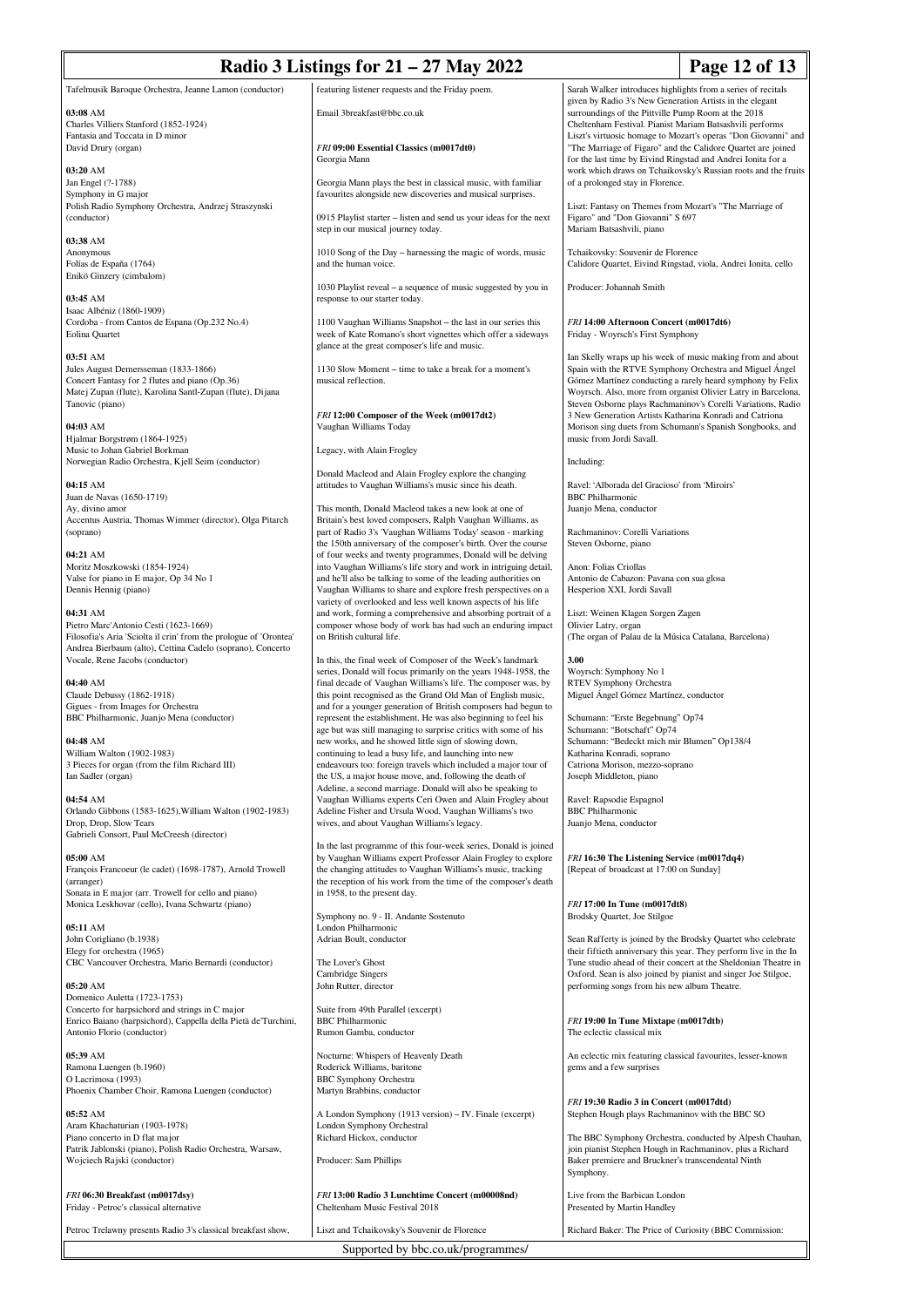| Radio 3 Listings for 21 - 27 May 2022                                                                                                                                                |                                                                                                                                                                                                                                                                      |                                                                                                                                                                                                                                                                                                                   | Page 12 of 13                                                                                                                                                                        |
|--------------------------------------------------------------------------------------------------------------------------------------------------------------------------------------|----------------------------------------------------------------------------------------------------------------------------------------------------------------------------------------------------------------------------------------------------------------------|-------------------------------------------------------------------------------------------------------------------------------------------------------------------------------------------------------------------------------------------------------------------------------------------------------------------|--------------------------------------------------------------------------------------------------------------------------------------------------------------------------------------|
| Tafelmusik Baroque Orchestra, Jeanne Lamon (conductor)                                                                                                                               | featuring listener requests and the Friday poem.                                                                                                                                                                                                                     | Sarah Walker introduces highlights from a series of recitals                                                                                                                                                                                                                                                      |                                                                                                                                                                                      |
| 03:08 AM                                                                                                                                                                             | Email 3breakfast@bbc.co.uk                                                                                                                                                                                                                                           | given by Radio 3's New Generation Artists in the elegant                                                                                                                                                                                                                                                          |                                                                                                                                                                                      |
| Charles Villiers Stanford (1852-1924)<br>Fantasia and Toccata in D minor<br>David Drury (organ)                                                                                      | FRI 09:00 Essential Classics (m0017dt0)<br>Georgia Mann                                                                                                                                                                                                              | surroundings of the Pittville Pump Room at the 2018<br>Cheltenham Festival. Pianist Mariam Batsashvili performs<br>Liszt's virtuosic homage to Mozart's operas "Don Giovanni" and<br>"The Marriage of Figaro" and the Calidore Quartet are joined<br>for the last time by Eivind Ringstad and Andrei Ionita for a |                                                                                                                                                                                      |
| 03:20 AM<br>Jan Engel (?-1788)<br>Symphony in G major                                                                                                                                | Georgia Mann plays the best in classical music, with familiar<br>favourites alongside new discoveries and musical surprises.                                                                                                                                         | of a prolonged stay in Florence.                                                                                                                                                                                                                                                                                  | work which draws on Tchaikovsky's Russian roots and the fruits                                                                                                                       |
| Polish Radio Symphony Orchestra, Andrzej Straszynski<br>(conductor)                                                                                                                  | 0915 Playlist starter – listen and send us your ideas for the next<br>step in our musical journey today.                                                                                                                                                             | Liszt: Fantasy on Themes from Mozart's "The Marriage of<br>Figaro" and "Don Giovanni" S 697<br>Mariam Batsashvili, piano                                                                                                                                                                                          |                                                                                                                                                                                      |
| 03:38 AM<br>Anonymous<br>Folías de España (1764)                                                                                                                                     | 1010 Song of the Day – harnessing the magic of words, music<br>and the human voice.                                                                                                                                                                                  | Tchaikovsky: Souvenir de Florence<br>Calidore Quartet, Eivind Ringstad, viola, Andrei Ionita, cello                                                                                                                                                                                                               |                                                                                                                                                                                      |
| Enikö Ginzery (cimbalom)<br>03:45 AM                                                                                                                                                 | 1030 Playlist reveal – a sequence of music suggested by you in<br>response to our starter today.                                                                                                                                                                     | Producer: Johannah Smith                                                                                                                                                                                                                                                                                          |                                                                                                                                                                                      |
| Isaac Albéniz (1860-1909)<br>Cordoba - from Cantos de Espana (Op.232 No.4)<br>Eolina Quartet                                                                                         | 1100 Vaughan Williams Snapshot - the last in our series this<br>week of Kate Romano's short vignettes which offer a sideways<br>glance at the great composer's life and music.                                                                                       | FRI 14:00 Afternoon Concert (m0017dt6)<br>Friday - Woyrsch's First Symphony                                                                                                                                                                                                                                       |                                                                                                                                                                                      |
| 03:51 AM<br>Jules August Demersseman (1833-1866)<br>Concert Fantasy for 2 flutes and piano (Op.36)                                                                                   | 1130 Slow Moment – time to take a break for a moment's<br>musical reflection.                                                                                                                                                                                        |                                                                                                                                                                                                                                                                                                                   | Ian Skelly wraps up his week of music making from and about<br>Spain with the RTVE Symphony Orchestra and Miguel Angel<br>Gómez Martínez conducting a rarely heard symphony by Felix |
| Matej Zupan (flute), Karolina Santl-Zupan (flute), Dijana<br>Tanovic (piano)                                                                                                         | FRI 12:00 Composer of the Week (m0017dt2)                                                                                                                                                                                                                            | 3 New Generation Artists Katharina Konradi and Catriona                                                                                                                                                                                                                                                           | Woyrsch. Also, more from organist Olivier Latry in Barcelona,<br>Steven Osborne plays Rachmaninov's Corelli Variations, Radio                                                        |
| 04:03 AM<br>Hjalmar Borgstrøm (1864-1925)<br>Music to Johan Gabriel Borkman                                                                                                          | Vaughan Williams Today<br>Legacy, with Alain Frogley                                                                                                                                                                                                                 | music from Jordi Savall.                                                                                                                                                                                                                                                                                          | Morison sing duets from Schumann's Spanish Songbooks, and                                                                                                                            |
| Norwegian Radio Orchestra, Kjell Seim (conductor)                                                                                                                                    | Donald Macleod and Alain Frogley explore the changing                                                                                                                                                                                                                | Including:                                                                                                                                                                                                                                                                                                        |                                                                                                                                                                                      |
| 04:15 AM<br>Juan de Navas (1650-1719)<br>Ay, divino amor                                                                                                                             | attitudes to Vaughan Williams's music since his death.<br>This month, Donald Macleod takes a new look at one of                                                                                                                                                      | Ravel: 'Alborada del Gracioso' from 'Miroirs'<br><b>BBC</b> Philharmonic<br>Juanjo Mena, conductor                                                                                                                                                                                                                |                                                                                                                                                                                      |
| Accentus Austria, Thomas Wimmer (director), Olga Pitarch<br>(soprano)                                                                                                                | Britain's best loved composers, Ralph Vaughan Williams, as<br>part of Radio 3's 'Vaughan Williams Today' season - marking<br>the 150th anniversary of the composer's birth. Over the course                                                                          | Rachmaninov: Corelli Variations<br>Steven Osborne, piano                                                                                                                                                                                                                                                          |                                                                                                                                                                                      |
| 04:21 AM<br>Moritz Moszkowski (1854-1924)                                                                                                                                            | of four weeks and twenty programmes, Donald will be delving<br>into Vaughan Williams's life story and work in intriguing detail,                                                                                                                                     | Anon: Folias Criollas                                                                                                                                                                                                                                                                                             |                                                                                                                                                                                      |
| Valse for piano in E major, Op 34 No 1<br>Dennis Hennig (piano)                                                                                                                      | and he'll also be talking to some of the leading authorities on<br>Vaughan Williams to share and explore fresh perspectives on a<br>variety of overlooked and less well known aspects of his life                                                                    | Antonio de Cabazon: Pavana con sua glosa<br>Hesperion XXI, Jordi Savall                                                                                                                                                                                                                                           |                                                                                                                                                                                      |
| 04:31 AM<br>Pietro Marc'Antonio Cesti (1623-1669)<br>Filosofia's Aria 'Sciolta il crin' from the prologue of 'Orontea'<br>Andrea Bierbaum (alto), Cettina Cadelo (soprano), Concerto | and work, forming a comprehensive and absorbing portrait of a<br>composer whose body of work has had such an enduring impact<br>on British cultural life.                                                                                                            | Liszt: Weinen Klagen Sorgen Zagen<br>Olivier Latry, organ<br>(The organ of Palau de la Música Catalana, Barcelona)                                                                                                                                                                                                |                                                                                                                                                                                      |
| Vocale, Rene Jacobs (conductor)<br>04:40 AM<br>Claude Debussy (1862-1918)                                                                                                            | In this, the final week of Composer of the Week's landmark<br>series, Donald will focus primarily on the years 1948-1958, the<br>final decade of Vaughan Williams's life. The composer was, by<br>this point recognised as the Grand Old Man of English music,       | 3.00<br>Woyrsch: Symphony No 1<br><b>RTEV Symphony Orchestra</b><br>Miguel Ángel Gómez Martínez, conductor                                                                                                                                                                                                        |                                                                                                                                                                                      |
| Gigues - from Images for Orchestra<br>BBC Philharmonic, Juan jo Mena (conductor)<br>04:48 AM                                                                                         | and for a younger generation of British composers had begun to<br>represent the establishment. He was also beginning to feel his<br>age but was still managing to surprise critics with some of his<br>new works, and he showed little sign of slowing down,         | Schumann: "Erste Begebnung" Op74<br>Schumann: "Botschaft" Op74<br>Schumann: "Bedeckt mich mir Blumen" Op138/4                                                                                                                                                                                                     |                                                                                                                                                                                      |
| William Walton (1902-1983)<br>3 Pieces for organ (from the film Richard III)<br>Ian Sadler (organ)                                                                                   | continuing to lead a busy life, and launching into new<br>endeavours too: foreign travels which included a major tour of<br>the US, a major house move, and, following the death of<br>Adeline, a second marriage. Donald will also be speaking to                   | Katharina Konradi, soprano<br>Catriona Morison, mezzo-soprano<br>Joseph Middleton, piano                                                                                                                                                                                                                          |                                                                                                                                                                                      |
| 04:54 AM<br>Orlando Gibbons (1583-1625), William Walton (1902-1983)<br>Drop, Drop, Slow Tears<br>Gabrieli Consort, Paul McCreesh (director)                                          | Vaughan Williams experts Ceri Owen and Alain Frogley about<br>Adeline Fisher and Ursula Wood, Vaughan Williams's two<br>wives, and about Vaughan Williams's legacy.                                                                                                  | Ravel: Rapsodie Espagnol<br><b>BBC</b> Philharmonic<br>Juanjo Mena, conductor                                                                                                                                                                                                                                     |                                                                                                                                                                                      |
| 05:00 AM<br>François Francoeur (le cadet) (1698-1787), Arnold Trowell<br>(arranger)                                                                                                  | In the last programme of this four-week series, Donald is joined<br>by Vaughan Williams expert Professor Alain Frogley to explore<br>the changing attitudes to Vaughan Williams's music, tracking<br>the reception of his work from the time of the composer's death | FRI 16:30 The Listening Service (m0017dq4)<br>[Repeat of broadcast at 17:00 on Sunday]                                                                                                                                                                                                                            |                                                                                                                                                                                      |
| Sonata in E major (arr. Trowell for cello and piano)<br>Monica Leskhovar (cello), Ivana Schwartz (piano)                                                                             | in 1958, to the present day.<br>Symphony no. 9 - II. Andante Sostenuto                                                                                                                                                                                               | FRI 17:00 In Tune (m0017dt8)<br>Brodsky Quartet, Joe Stilgoe                                                                                                                                                                                                                                                      |                                                                                                                                                                                      |
| 05:11 AM<br>John Corigliano (b.1938)<br>Elegy for orchestra (1965)                                                                                                                   | London Philharmonic<br>Adrian Boult, conductor                                                                                                                                                                                                                       |                                                                                                                                                                                                                                                                                                                   | Sean Rafferty is joined by the Brodsky Quartet who celebrate<br>their fiftieth anniversary this year. They perform live in the In                                                    |
| CBC Vancouver Orchestra, Mario Bernardi (conductor)<br>05:20 AM                                                                                                                      | The Lover's Ghost<br>Cambridge Singers<br>John Rutter, director                                                                                                                                                                                                      | Oxford. Sean is also joined by pianist and singer Joe Stilgoe,<br>performing songs from his new album Theatre.                                                                                                                                                                                                    | Tune studio ahead of their concert at the Sheldonian Theatre in                                                                                                                      |
| Domenico Auletta (1723-1753)<br>Concerto for harpsichord and strings in C major<br>Enrico Baiano (harpsichord), Cappella della Pietà de'Turchini,<br>Antonio Florio (conductor)      | Suite from 49th Parallel (excerpt)<br><b>BBC</b> Philharmonic<br>Rumon Gamba, conductor                                                                                                                                                                              | FRI 19:00 In Tune Mixtape (m0017dtb)<br>The eclectic classical mix                                                                                                                                                                                                                                                |                                                                                                                                                                                      |
| 05:39 AM<br>Ramona Luengen (b.1960)                                                                                                                                                  | Nocturne: Whispers of Heavenly Death<br>Roderick Williams, baritone                                                                                                                                                                                                  | An eclectic mix featuring classical favourites, lesser-known<br>gems and a few surprises                                                                                                                                                                                                                          |                                                                                                                                                                                      |
| O Lacrimosa (1993)<br>Phoenix Chamber Choir, Ramona Luengen (conductor)                                                                                                              | <b>BBC</b> Symphony Orchestra<br>Martyn Brabbins, conductor                                                                                                                                                                                                          | FRI 19:30 Radio 3 in Concert (m0017dtd)                                                                                                                                                                                                                                                                           |                                                                                                                                                                                      |
| 05:52 AM<br>Aram Khachaturian (1903-1978)<br>Piano concerto in D flat major<br>Patrik Jablonski (piano), Polish Radio Orchestra, Warsaw,                                             | A London Symphony (1913 version) - IV. Finale (excerpt)<br>London Symphony Orchestral<br>Richard Hickox, conductor                                                                                                                                                   | Stephen Hough plays Rachmaninov with the BBC SO<br>join pianist Stephen Hough in Rachmaninov, plus a Richard                                                                                                                                                                                                      | The BBC Symphony Orchestra, conducted by Alpesh Chauhan,                                                                                                                             |
| Wojciech Rajski (conductor)                                                                                                                                                          | Producer: Sam Phillips                                                                                                                                                                                                                                               | Baker premiere and Bruckner's transcendental Ninth<br>Symphony.                                                                                                                                                                                                                                                   |                                                                                                                                                                                      |
| FRI 06:30 Breakfast (m0017dsy)<br>Friday - Petroc's classical alternative                                                                                                            | FRI 13:00 Radio 3 Lunchtime Concert (m00008nd)<br>Cheltenham Music Festival 2018                                                                                                                                                                                     | Live from the Barbican London<br>Presented by Martin Handley                                                                                                                                                                                                                                                      |                                                                                                                                                                                      |
| Petroc Trelawny presents Radio 3's classical breakfast show,                                                                                                                         | Liszt and Tchaikovsky's Souvenir de Florence                                                                                                                                                                                                                         | Richard Baker: The Price of Curiosity (BBC Commission:                                                                                                                                                                                                                                                            |                                                                                                                                                                                      |
| Supported by bbc.co.uk/programmes/                                                                                                                                                   |                                                                                                                                                                                                                                                                      |                                                                                                                                                                                                                                                                                                                   |                                                                                                                                                                                      |